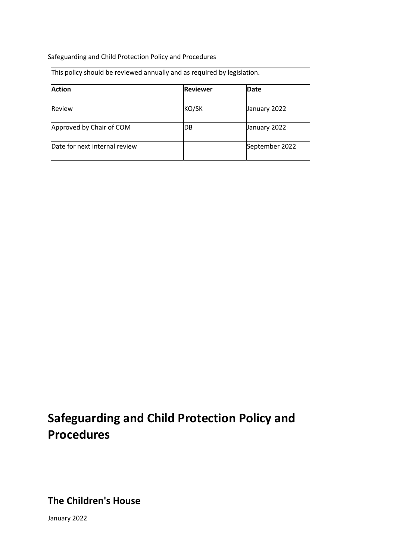Safeguarding and Child Protection Policy and Procedures

| This policy should be reviewed annually and as required by legislation. |                 |                |
|-------------------------------------------------------------------------|-----------------|----------------|
| <b>Action</b>                                                           | <b>Reviewer</b> | Date           |
| Review                                                                  | KO/SK           | January 2022   |
| Approved by Chair of COM                                                | IDB             | January 2022   |
| Date for next internal review                                           |                 | September 2022 |

# **Safeguarding and Child Protection Policy and Procedures**

**The Children's House**

January 2022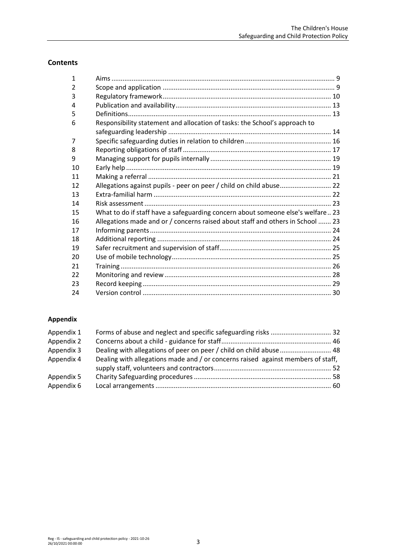# **Contents**

| $\mathbf{1}$ |                                                                                 |  |
|--------------|---------------------------------------------------------------------------------|--|
| 2            |                                                                                 |  |
| 3            |                                                                                 |  |
| 4            |                                                                                 |  |
| 5            |                                                                                 |  |
| 6            | Responsibility statement and allocation of tasks: the School's approach to      |  |
|              |                                                                                 |  |
| 7            |                                                                                 |  |
| 8            |                                                                                 |  |
| 9            |                                                                                 |  |
| 10           |                                                                                 |  |
| 11           |                                                                                 |  |
| 12           | Allegations against pupils - peer on peer / child on child abuse 22             |  |
| 13           |                                                                                 |  |
| 14           |                                                                                 |  |
| 15           | What to do if staff have a safeguarding concern about someone else's welfare 23 |  |
| 16           | Allegations made and or / concerns raised about staff and others in School  23  |  |
| 17           |                                                                                 |  |
| 18           |                                                                                 |  |
| 19           |                                                                                 |  |
| 20           |                                                                                 |  |
| 21           |                                                                                 |  |
| 22           |                                                                                 |  |
| 23           |                                                                                 |  |
| 24           |                                                                                 |  |

# **Appendix**

| Appendix 1 |                                                                                  |  |
|------------|----------------------------------------------------------------------------------|--|
| Appendix 2 |                                                                                  |  |
| Appendix 3 | Dealing with allegations of peer on peer / child on child abuse  48              |  |
| Appendix 4 | Dealing with allegations made and / or concerns raised against members of staff, |  |
|            |                                                                                  |  |
| Appendix 5 |                                                                                  |  |
| Appendix 6 |                                                                                  |  |
|            |                                                                                  |  |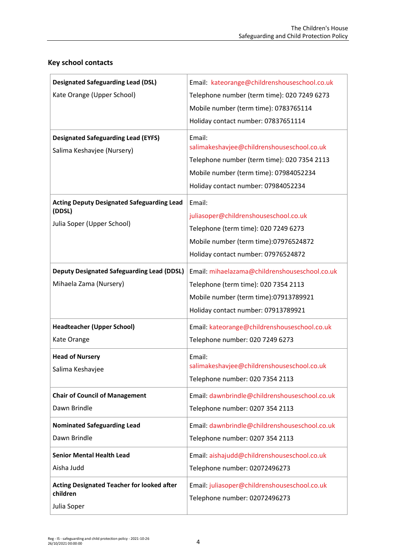| <b>Designated Safeguarding Lead (DSL)</b>                                                 | Email: kateorange@childrenshouseschool.co.uk                                                                                                                                         |
|-------------------------------------------------------------------------------------------|--------------------------------------------------------------------------------------------------------------------------------------------------------------------------------------|
| Kate Orange (Upper School)                                                                | Telephone number (term time): 020 7249 6273                                                                                                                                          |
|                                                                                           | Mobile number (term time): 0783765114                                                                                                                                                |
|                                                                                           | Holiday contact number: 07837651114                                                                                                                                                  |
| <b>Designated Safeguarding Lead (EYFS)</b><br>Salima Keshavjee (Nursery)                  | Email:<br>salimakeshavjee@childrenshouseschool.co.uk<br>Telephone number (term time): 020 7354 2113<br>Mobile number (term time): 07984052234<br>Holiday contact number: 07984052234 |
| <b>Acting Deputy Designated Safeguarding Lead</b><br>(DDSL)<br>Julia Soper (Upper School) | Email:<br>juliasoper@childrenshouseschool.co.uk<br>Telephone (term time): 020 7249 6273<br>Mobile number (term time):07976524872<br>Holiday contact number: 07976524872              |
| <b>Deputy Designated Safeguarding Lead (DDSL)</b>                                         | Email: mihaelazama@childrenshouseschool.co.uk                                                                                                                                        |
| Mihaela Zama (Nursery)                                                                    | Telephone (term time): 020 7354 2113<br>Mobile number (term time):07913789921<br>Holiday contact number: 07913789921                                                                 |
| <b>Headteacher (Upper School)</b>                                                         | Email: kateorange@childrenshouseschool.co.uk                                                                                                                                         |
| Kate Orange                                                                               | Telephone number: 020 7249 6273                                                                                                                                                      |
| <b>Head of Nursery</b><br>Salima Keshavjee                                                | Email:<br>salimakeshavjee@childrenshouseschool.co.uk<br>Telephone number: 020 7354 2113                                                                                              |
| <b>Chair of Council of Management</b><br>Dawn Brindle                                     | Email: dawnbrindle@childrenshouseschool.co.uk<br>Telephone number: 0207 354 2113                                                                                                     |
| <b>Nominated Safeguarding Lead</b><br>Dawn Brindle                                        | Email: dawnbrindle@childrenshouseschool.co.uk<br>Telephone number: 0207 354 2113                                                                                                     |
|                                                                                           |                                                                                                                                                                                      |
| <b>Senior Mental Health Lead</b><br>Aisha Judd                                            | Email: aishajudd@childrenshouseschool.co.uk                                                                                                                                          |
|                                                                                           | Telephone number: 02072496273                                                                                                                                                        |
| <b>Acting Designated Teacher for looked after</b><br>children                             | Email: juliasoper@childrenshouseschool.co.uk                                                                                                                                         |
| Julia Soper                                                                               | Telephone number: 02072496273                                                                                                                                                        |

# **Key school contacts**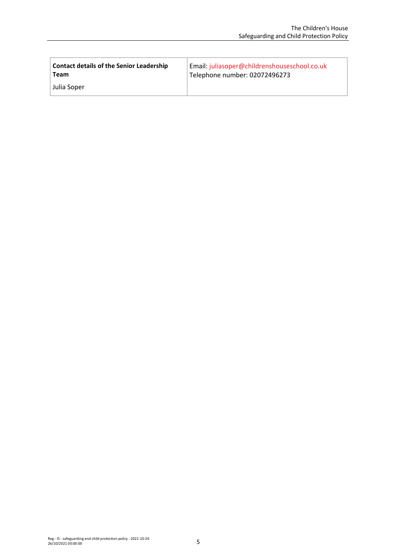| <b>Contact details of the Senior Leadership</b> | Email: juliasoper@childrenshouseschool.co.uk |
|-------------------------------------------------|----------------------------------------------|
| Team                                            | Telephone number: 02072496273                |
| Julia Soper                                     |                                              |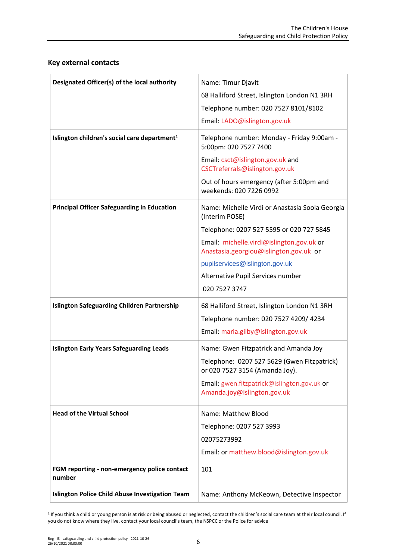| Designated Officer(s) of the local authority                                                | Name: Timur Djavit<br>68 Halliford Street, Islington London N1 3RH<br>Telephone number: 020 7527 8101/8102<br>Email: LADO@islington.gov.uk                                                                                                                                                   |
|---------------------------------------------------------------------------------------------|----------------------------------------------------------------------------------------------------------------------------------------------------------------------------------------------------------------------------------------------------------------------------------------------|
| Islington children's social care department <sup>1</sup>                                    | Telephone number: Monday - Friday 9:00am -<br>5:00pm: 020 7527 7400<br>Email: csct@islington.gov.uk and<br>CSCTreferrals@islington.gov.uk<br>Out of hours emergency (after 5:00pm and<br>weekends: 020 7226 0992                                                                             |
| <b>Principal Officer Safeguarding in Education</b>                                          | Name: Michelle Virdi or Anastasia Soola Georgia<br>(Interim POSE)<br>Telephone: 0207 527 5595 or 020 727 5845<br>Email: michelle.virdi@islington.gov.uk or<br>Anastasia.georgiou@islington.gov.uk or<br>pupilservices@islington.gov.uk<br>Alternative Pupil Services number<br>020 7527 3747 |
| <b>Islington Safeguarding Children Partnership</b>                                          | 68 Halliford Street, Islington London N1 3RH<br>Telephone number: 020 7527 4209/ 4234<br>Email: maria.gilby@islington.gov.uk                                                                                                                                                                 |
| <b>Islington Early Years Safeguarding Leads</b>                                             | Name: Gwen Fitzpatrick and Amanda Joy<br>Telephone: 0207 527 5629 (Gwen Fitzpatrick)<br>or 020 7527 3154 (Amanda Joy).<br>Email: gwen.fitzpatrick@islington.gov.uk or<br>Amanda.joy@islington.gov.uk                                                                                         |
| <b>Head of the Virtual School</b><br>FGM reporting - non-emergency police contact<br>number | Name: Matthew Blood<br>Telephone: 0207 527 3993<br>02075273992<br>Email: or matthew.blood@islington.gov.uk<br>101                                                                                                                                                                            |
| <b>Islington Police Child Abuse Investigation Team</b>                                      | Name: Anthony McKeown, Detective Inspector                                                                                                                                                                                                                                                   |

# **Key external contacts**

<sup>1</sup> If you think a child or young person is at risk or being abused or neglected, contact the children's social care team at their local council. If you do not know where they live, contact your local council's team, the NSPCC or the Police for advice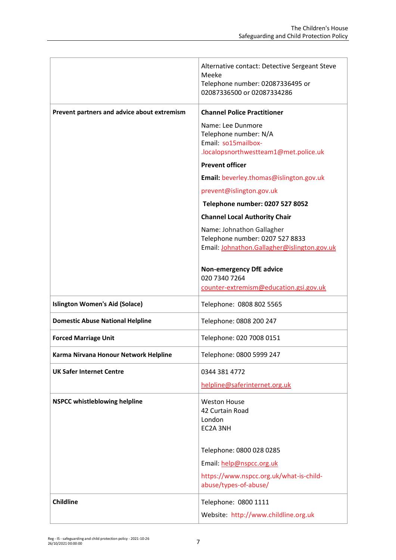|                                             | Alternative contact: Detective Sergeant Steve<br>Meeke<br>Telephone number: 02087336495 or<br>02087336500 or 02087334286 |
|---------------------------------------------|--------------------------------------------------------------------------------------------------------------------------|
| Prevent partners and advice about extremism | <b>Channel Police Practitioner</b>                                                                                       |
|                                             | Name: Lee Dunmore<br>Telephone number: N/A<br>Email: so15mailbox-<br>.localopsnorthwestteam1@met.police.uk               |
|                                             | <b>Prevent officer</b>                                                                                                   |
|                                             | Email: beverley.thomas@islington.gov.uk                                                                                  |
|                                             | prevent@islington.gov.uk                                                                                                 |
|                                             | Telephone number: 0207 527 8052                                                                                          |
|                                             | <b>Channel Local Authority Chair</b>                                                                                     |
|                                             | Name: Johnathon Gallagher<br>Telephone number: 0207 527 8833<br>Email: Johnathon.Gallagher@islington.gov.uk              |
|                                             | <b>Non-emergency DfE advice</b><br>020 7340 7264<br>counter-extremism@education.gsi.gov.uk                               |
| <b>Islington Women's Aid (Solace)</b>       | Telephone: 0808 802 5565                                                                                                 |
|                                             |                                                                                                                          |
| <b>Domestic Abuse National Helpline</b>     | Telephone: 0808 200 247                                                                                                  |
| <b>Forced Marriage Unit</b>                 | Telephone: 020 7008 0151                                                                                                 |
| Karma Nirvana Honour Network Helpline       | Telephone: 0800 5999 247                                                                                                 |
| <b>UK Safer Internet Centre</b>             | 0344 381 4772                                                                                                            |
|                                             | helpline@saferinternet.org.uk                                                                                            |
| <b>NSPCC whistleblowing helpline</b>        | <b>Weston House</b><br>42 Curtain Road<br>London<br>EC2A 3NH                                                             |
|                                             | Telephone: 0800 028 0285                                                                                                 |
|                                             | Email: help@nspcc.org.uk                                                                                                 |
|                                             | https://www.nspcc.org.uk/what-is-child-<br>abuse/types-of-abuse/                                                         |
| <b>Childline</b>                            | Telephone: 0800 1111                                                                                                     |
|                                             | Website: http://www.childline.org.uk                                                                                     |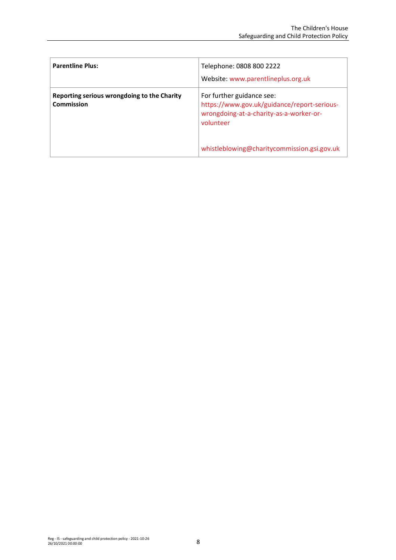| <b>Parentline Plus:</b>                                          | Telephone: 0808 800 2222<br>Website: www.parentlineplus.org.uk                                                                   |
|------------------------------------------------------------------|----------------------------------------------------------------------------------------------------------------------------------|
| Reporting serious wrongdoing to the Charity<br><b>Commission</b> | For further guidance see:<br>https://www.gov.uk/guidance/report-serious-<br>wrongdoing-at-a-charity-as-a-worker-or-<br>volunteer |
|                                                                  | whistleblowing@charitycommission.gsi.gov.uk                                                                                      |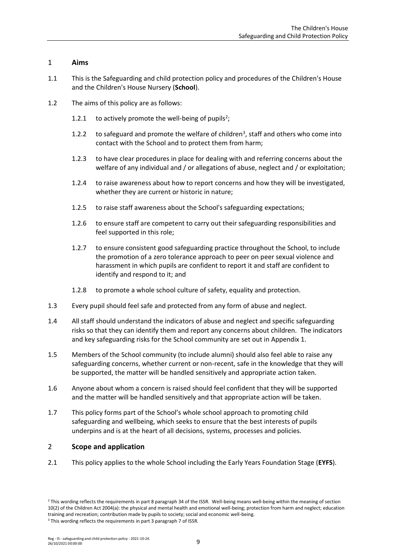# <span id="page-8-0"></span>1 **Aims**

- 1.1 This is the Safeguarding and child protection policy and procedures of the Children's House and the Children's House Nursery (**School**).
- 1.2 The aims of this policy are as follows:
	- 1.2.1 to actively promote the well-being of pupils<sup>2</sup>;
	- 1.2.2 to safeguard and promote the welfare of children<sup>3</sup>, staff and others who come into contact with the School and to protect them from harm;
	- 1.2.3 to have clear procedures in place for dealing with and referring concerns about the welfare of any individual and / or allegations of abuse, neglect and / or exploitation;
	- 1.2.4 to raise awareness about how to report concerns and how they will be investigated, whether they are current or historic in nature;
	- 1.2.5 to raise staff awareness about the School's safeguarding expectations;
	- 1.2.6 to ensure staff are competent to carry out their safeguarding responsibilities and feel supported in this role;
	- 1.2.7 to ensure consistent good safeguarding practice throughout the School, to include the promotion of a zero tolerance approach to peer on peer sexual violence and harassment in which pupils are confident to report it and staff are confident to identify and respond to it; and
	- 1.2.8 to promote a whole school culture of safety, equality and protection.
- 1.3 Every pupil should feel safe and protected from any form of abuse and neglect.
- 1.4 All staff should understand the indicators of abuse and neglect and specific safeguarding risks so that they can identify them and report any concerns about children. The indicators and key safeguarding risks for the School community are set out in [Appendix 1.](#page-31-0)
- 1.5 Members of the School community (to include alumni) should also feel able to raise any safeguarding concerns, whether current or non-recent, safe in the knowledge that they will be supported, the matter will be handled sensitively and appropriate action taken.
- 1.6 Anyone about whom a concern is raised should feel confident that they will be supported and the matter will be handled sensitively and that appropriate action will be taken.
- 1.7 This policy forms part of the School's whole school approach to promoting child safeguarding and wellbeing, which seeks to ensure that the best interests of pupils underpins and is at the heart of all decisions, systems, processes and policies.

# <span id="page-8-1"></span>2 **Scope and application**

2.1 This policy applies to the whole School including the Early Years Foundation Stage (**EYFS**).

<sup>3</sup> This wording reflects the requirements in part 3 paragraph 7 of ISSR.

<sup>&</sup>lt;sup>2</sup> This wording reflects the requirements in part 8 paragraph 34 of the ISSR. Well-being means well-being within the meaning of section 10(2) of the Children Act 2004(a): the physical and mental health and emotional well-being; protection from harm and neglect; education training and recreation; contribution made by pupils to society; social and economic well-being.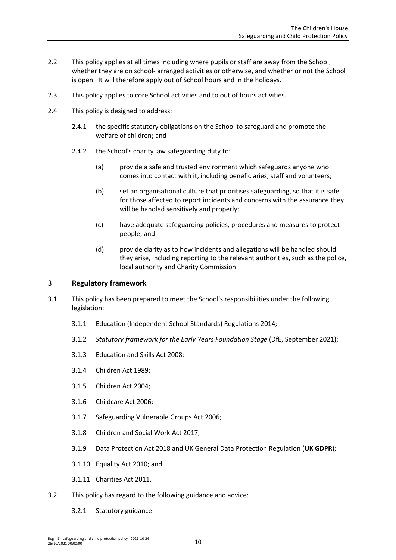- 2.2 This policy applies at all times including where pupils or staff are away from the School, whether they are on school- arranged activities or otherwise, and whether or not the School is open. It will therefore apply out of School hours and in the holidays.
- 2.3 This policy applies to core School activities and to out of hours activities.
- 2.4 This policy is designed to address:
	- 2.4.1 the specific statutory obligations on the School to safeguard and promote the welfare of children; and
	- 2.4.2 the School's charity law safeguarding duty to:
		- (a) provide a safe and trusted environment which safeguards anyone who comes into contact with it, including beneficiaries, staff and volunteers;
		- (b) set an organisational culture that prioritises safeguarding, so that it is safe for those affected to report incidents and concerns with the assurance they will be handled sensitively and properly;
		- (c) have adequate safeguarding policies, procedures and measures to protect people; and
		- (d) provide clarity as to how incidents and allegations will be handled should they arise, including reporting to the relevant authorities, such as the police, local authority and Charity Commission.

## <span id="page-9-0"></span>3 **Regulatory framework**

- 3.1 This policy has been prepared to meet the School's responsibilities under the following legislation:
	- 3.1.1 Education (Independent School Standards) Regulations 2014;
	- 3.1.2 *Statutory framework for the Early Years Foundation Stage* (DfE, September 2021);
	- 3.1.3 Education and Skills Act 2008;
	- 3.1.4 Children Act 1989;
	- 3.1.5 Children Act 2004;
	- 3.1.6 Childcare Act 2006;
	- 3.1.7 Safeguarding Vulnerable Groups Act 2006;
	- 3.1.8 Children and Social Work Act 2017;
	- 3.1.9 Data Protection Act 2018 and UK General Data Protection Regulation (**UK GDPR**);
	- 3.1.10 Equality Act 2010; and
	- 3.1.11 Charities Act 2011.
- 3.2 This policy has regard to the following guidance and advice:
	- 3.2.1 Statutory guidance: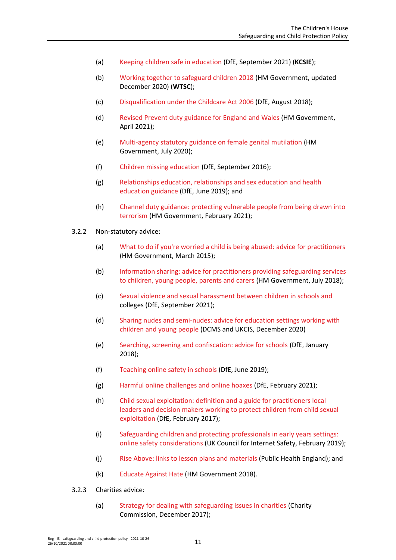- (a) [Keeping children safe in education \(](https://www.gov.uk/government/publications/keeping-children-safe-in-education--2)DfE, September 2021) (**KCSIE**);
- (b) [Working together to safeguard children 2018](https://www.gov.uk/government/publications/working-together-to-safeguard-children--2) (HM Government, updated December 2020) (**WTSC**);
- (c) [Disqualification under the Childcare Act 2006](https://www.gov.uk/government/publications/disqualification-under-the-childcare-act-2006/disqualification-under-the-childcare-act-2006) (DfE, August 2018);
- (d) [Revised Prevent duty guidance for England and Wales](https://www.gov.uk/government/publications/prevent-duty-guidance/revised-prevent-duty-guidance-for-england-and-wales) (HM Government, April 2021);
- (e) [Multi-agency statutory guidance on female genital mutilation](https://www.gov.uk/government/publications/multi-agency-statutory-guidance-on-female-genital-mutilation) (HM Government, July 2020);
- (f) [Children missing education](https://www.gov.uk/government/publications/children-missing-education) (DfE, September 2016);
- (g) [Relationships education, relationships and sex education and health](https://www.gov.uk/government/publications/relationships-education-relationships-and-sex-education-rse-and-health-education)  [education guidance](https://www.gov.uk/government/publications/relationships-education-relationships-and-sex-education-rse-and-health-education) (DfE, June 2019); and
- (h) [Channel duty guidance: protecting vulnerable people from being drawn into](https://www.gov.uk/government/publications/channel-and-prevent-multi-agency-panel-pmap-guidance)  [terrorism](https://www.gov.uk/government/publications/channel-and-prevent-multi-agency-panel-pmap-guidance) (HM Government, February 2021);
- 3.2.2 Non-statutory advice:
	- (a) [What to do if you're worried a child is being abused: advice for practitioners](https://www.gov.uk/government/publications/what-to-do-if-youre-worried-a-child-is-being-abused--2) (HM Government, March 2015);
	- (b) [Information sharing: advice for practitioners providing safeguarding services](https://www.gov.uk/government/publications/safeguarding-practitioners-information-sharing-advice)  [to children, young people, parents and carers \(](https://www.gov.uk/government/publications/safeguarding-practitioners-information-sharing-advice)HM Government, July 2018);
	- (c) [Sexual violence and sexual harassment between children in schools and](https://www.gov.uk/government/publications/sexual-violence-and-sexual-harassment-between-children-in-schools-and-colleges) colleges (DfE, September 2021);
	- (d) [Sharing nudes and semi-nudes: advice for education settings working with](https://www.gov.uk/government/publications/sharing-nudes-and-semi-nudes-advice-for-education-settings-working-with-children-and-young-people/sharing-nudes-and-semi-nudes-advice-for-education-settings-working-with-children-and-young-people)  [children and young people](https://www.gov.uk/government/publications/sharing-nudes-and-semi-nudes-advice-for-education-settings-working-with-children-and-young-people/sharing-nudes-and-semi-nudes-advice-for-education-settings-working-with-children-and-young-people) (DCMS and UKCIS, December 2020)
	- (e) [Searching, screening and confiscation: advice for schools](https://www.gov.uk/government/publications/sexual-violence-and-sexual-harassment-between-children-in-schools-and-colleges) (DfE, January 2018);
	- (f) [Teaching online safety in schools](https://www.gov.uk/government/publications/teaching-online-safety-in-schools) (DfE, June 2019);
	- (g) [Harmful online challenges and online hoaxes](https://www.gov.uk/government/publications/harmful-online-challenges-and-online-hoaxes) (DfE, February 2021);
	- (h) [Child sexual exploitation: definition and a guide for practitioners local](https://www.gov.uk/government/publications/child-sexual-exploitation-definition-and-guide-for-practitioners)  [leaders and decision makers working to protect children from child sexual](https://www.gov.uk/government/publications/child-sexual-exploitation-definition-and-guide-for-practitioners)  [exploitation](https://www.gov.uk/government/publications/child-sexual-exploitation-definition-and-guide-for-practitioners) (DfE, February 2017);
	- (i) [Safeguarding children and protecting professionals in early years settings:](https://www.gov.uk/government/publications/safeguarding-children-and-protecting-professionals-in-early-years-settings-online-safety-considerations)  [online safety considerations](https://www.gov.uk/government/publications/safeguarding-children-and-protecting-professionals-in-early-years-settings-online-safety-considerations) (UK Council for Internet Safety, February 2019);
	- (j) [Rise Above: links to lesson plans and materials](https://campaignresources.phe.gov.uk/schools/topics/rise-above/overview) (Public Health England); and
	- (k) [Educate Against Hate \(](https://educateagainsthate.com/)HM Government 2018).
- 3.2.3 Charities advice:
	- (a) [Strategy for dealing with safeguarding issues in charities \(](https://www.gov.uk/government/publications/strategy-for-dealing-with-safeguarding-issues-in-charities/strategy-for-dealing-with-safeguarding-issues-in-charities)Charity Commission, December 2017);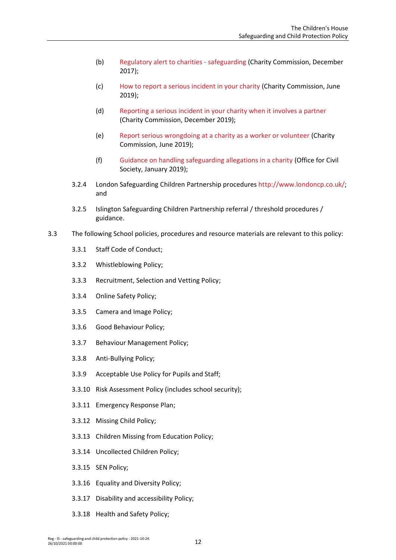- (b) [Regulatory alert to charities -](https://www.gov.uk/government/news/regulatory-alert-to-charities-safeguarding) safeguarding (Charity Commission, December 2017);
- (c) [How to report a serious incident in your charity \(](https://www.gov.uk/guidance/how-to-report-a-serious-incident-in-your-charity)Charity Commission, June 2019);
- (d) [Reporting a serious incident in your charity when it involves a partner](https://www.gov.uk/guidance/reporting-a-serious-incident-in-your-charity-when-it-involves-a-partner) (Charity Commission, December 2019);
- (e) [Report serious wrongdoing at a charity as a worker or volunteer](https://www.gov.uk/guidance/report-serious-wrongdoing-at-a-charity-as-a-worker-or-volunteer) (Charity Commission, June 2019);
- (f) [Guidance on handling safeguarding allegations in a charity](https://safeguarding.culture.gov.uk/) (Office for Civil Society, January 2019);
- 3.2.4 London Safeguarding Children Partnership procedures [http://www.londoncp.co.uk/;](http://www.londoncp.co.uk/) and
- 3.2.5 Islington Safeguarding Children Partnership referral / threshold procedures / guidance.
- 3.3 The following School policies, procedures and resource materials are relevant to this policy:
	- 3.3.1 Staff Code of Conduct;
	- 3.3.2 Whistleblowing Policy;
	- 3.3.3 Recruitment, Selection and Vetting Policy;
	- 3.3.4 Online Safety Policy;
	- 3.3.5 Camera and Image Policy;
	- 3.3.6 Good Behaviour Policy;
	- 3.3.7 Behaviour Management Policy;
	- 3.3.8 Anti-Bullying Policy;
	- 3.3.9 Acceptable Use Policy for Pupils and Staff;
	- 3.3.10 Risk Assessment Policy (includes school security);
	- 3.3.11 Emergency Response Plan;
	- 3.3.12 Missing Child Policy;
	- 3.3.13 Children Missing from Education Policy;
	- 3.3.14 Uncollected Children Policy;
	- 3.3.15 SEN Policy;
	- 3.3.16 Equality and Diversity Policy;
	- 3.3.17 Disability and accessibility Policy;
	- 3.3.18 Health and Safety Policy;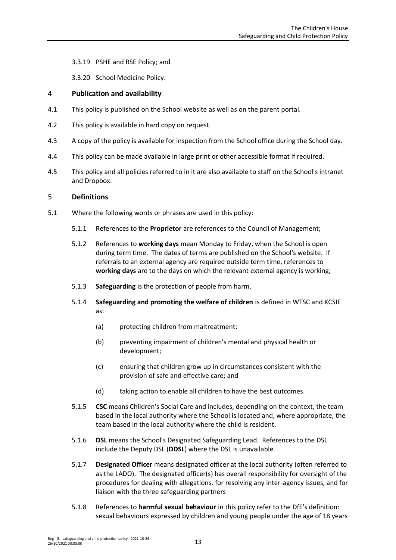3.3.19 PSHE and RSE Policy; and

3.3.20 School Medicine Policy.

## <span id="page-12-0"></span>4 **Publication and availability**

- 4.1 This policy is published on the School website as well as on the parent portal.
- 4.2 This policy is available in hard copy on request.
- 4.3 A copy of the policy is available for inspection from the School office during the School day.
- 4.4 This policy can be made available in large print or other accessible format if required.
- 4.5 This policy and all policies referred to in it are also available to staff on the School's intranet and Dropbox.

## <span id="page-12-1"></span>5 **Definitions**

- 5.1 Where the following words or phrases are used in this policy:
	- 5.1.1 References to the **Proprietor** are references to the Council of Management;
	- 5.1.2 References to **working days** mean Monday to Friday, when the School is open during term time. The dates of terms are published on the School's website. If referrals to an external agency are required outside term time, references to **working days** are to the days on which the relevant external agency is working;
	- 5.1.3 **Safeguarding** is the protection of people from harm.
	- 5.1.4 **Safeguarding and promoting the welfare of children** is defined in WTSC and KCSIE as:
		- (a) protecting children from maltreatment;
		- (b) preventing impairment of children's mental and physical health or development;
		- (c) ensuring that children grow up in circumstances consistent with the provision of safe and effective care; and
		- (d) taking action to enable all children to have the best outcomes.
	- 5.1.5 **CSC** means Children's Social Care and includes, depending on the context, the team based in the local authority where the School is located and, where appropriate, the team based in the local authority where the child is resident.
	- 5.1.6 **DSL** means the School's Designated Safeguarding Lead. References to the DSL include the Deputy DSL (**DDSL**) where the DSL is unavailable.
	- 5.1.7 **Designated Officer** means designated officer at the local authority (often referred to as the LADO). The designated officer(s) has overall responsibility for oversight of the procedures for dealing with allegations, for resolving any inter-agency issues, and for liaison with the three safeguarding partners
	- 5.1.8 References to **harmful sexual behaviour** in this policy refer to the DfE's definition: sexual behaviours expressed by children and young people under the age of 18 years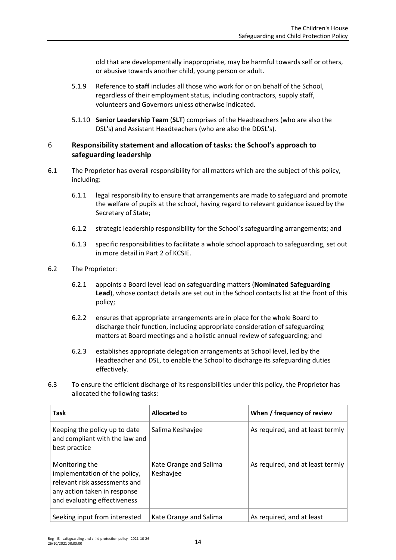old that are developmentally inappropriate, may be harmful towards self or others, or abusive towards another child, young person or adult.

- 5.1.9 Reference to **staff** includes all those who work for or on behalf of the School, regardless of their employment status, including contractors, supply staff, volunteers and Governors unless otherwise indicated.
- 5.1.10 **Senior Leadership Team** (**SLT**) comprises of the Headteachers (who are also the DSL's) and Assistant Headteachers (who are also the DDSL's).

# <span id="page-13-0"></span>6 **Responsibility statement and allocation of tasks: the School's approach to safeguarding leadership**

- 6.1 The Proprietor has overall responsibility for all matters which are the subject of this policy, including:
	- 6.1.1 legal responsibility to ensure that arrangements are made to safeguard and promote the welfare of pupils at the school, having regard to relevant guidance issued by the Secretary of State;
	- 6.1.2 strategic leadership responsibility for the School's safeguarding arrangements; and
	- 6.1.3 specific responsibilities to facilitate a whole school approach to safeguarding, set out in more detail in Part 2 of KCSIE.
- 6.2 The Proprietor:
	- 6.2.1 appoints a Board level lead on safeguarding matters (**Nominated Safeguarding Lead**), whose contact details are set out in the School contacts list at the front of this policy;
	- 6.2.2 ensures that appropriate arrangements are in place for the whole Board to discharge their function, including appropriate consideration of safeguarding matters at Board meetings and a holistic annual review of safeguarding; and
	- 6.2.3 establishes appropriate delegation arrangements at School level, led by the Headteacher and DSL, to enable the School to discharge its safeguarding duties effectively.
- 6.3 To ensure the efficient discharge of its responsibilities under this policy, the Proprietor has allocated the following tasks:

| <b>Task</b>                                                                                                                                      | <b>Allocated to</b>                 | When / frequency of review       |
|--------------------------------------------------------------------------------------------------------------------------------------------------|-------------------------------------|----------------------------------|
| Keeping the policy up to date<br>and compliant with the law and<br>best practice                                                                 | Salima Keshaviee                    | As required, and at least termly |
| Monitoring the<br>implementation of the policy,<br>relevant risk assessments and<br>any action taken in response<br>and evaluating effectiveness | Kate Orange and Salima<br>Keshavjee | As required, and at least termly |
| Seeking input from interested                                                                                                                    | Kate Orange and Salima              | As required, and at least        |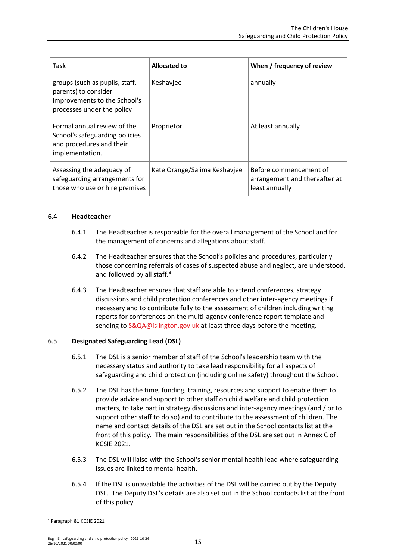| <b>Task</b>                                                                                                          | <b>Allocated to</b>          | When / frequency of review                                                |
|----------------------------------------------------------------------------------------------------------------------|------------------------------|---------------------------------------------------------------------------|
| groups (such as pupils, staff,<br>parents) to consider<br>improvements to the School's<br>processes under the policy | Keshavjee                    | annually                                                                  |
| Formal annual review of the<br>School's safeguarding policies<br>and procedures and their<br>implementation.         | Proprietor                   | At least annually                                                         |
| Assessing the adequacy of<br>safeguarding arrangements for<br>those who use or hire premises                         | Kate Orange/Salima Keshavjee | Before commencement of<br>arrangement and thereafter at<br>least annually |

#### 6.4 **Headteacher**

- 6.4.1 The Headteacher is responsible for the overall management of the School and for the management of concerns and allegations about staff.
- 6.4.2 The Headteacher ensures that the School's policies and procedures, particularly those concerning referrals of cases of suspected abuse and neglect, are understood, and followed by all staff.<sup>4</sup>
- 6.4.3 The Headteacher ensures that staff are able to attend conferences, strategy discussions and child protection conferences and other inter-agency meetings if necessary and to contribute fully to the assessment of children including writing reports for conferences on the multi-agency conference report template and sending to [S&QA@islington.gov.uk](mailto:S&QA@islington.gov.uk) at least three days before the meeting.

#### 6.5 **Designated Safeguarding Lead (DSL)**

- 6.5.1 The DSL is a senior member of staff of the School's leadership team with the necessary status and authority to take lead responsibility for all aspects of safeguarding and child protection (including online safety) throughout the School.
- 6.5.2 The DSL has the time, funding, training, resources and support to enable them to provide advice and support to other staff on child welfare and child protection matters, to take part in strategy discussions and inter-agency meetings (and / or to support other staff to do so) and to contribute to the assessment of children. The name and contact details of the DSL are set out in the School contacts list at the front of this policy. The main responsibilities of the DSL are set out in Annex C of KCSIE 2021.
- 6.5.3 The DSL will liaise with the School's senior mental health lead where safeguarding issues are linked to mental health.
- 6.5.4 If the DSL is unavailable the activities of the DSL will be carried out by the Deputy DSL. The Deputy DSL's details are also set out in the School contacts list at the front of this policy.

<sup>4</sup> Paragraph 81 KCSIE 2021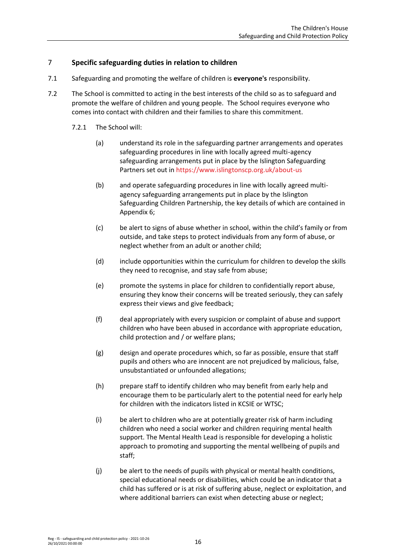# <span id="page-15-0"></span>7 **Specific safeguarding duties in relation to children**

- 7.1 Safeguarding and promoting the welfare of children is **everyone's** responsibility.
- 7.2 The School is committed to acting in the best interests of the child so as to safeguard and promote the welfare of children and young people. The School requires everyone who comes into contact with children and their families to share this commitment.
	- 7.2.1 The School will:
		- (a) understand its role in the safeguarding partner arrangements and operates safeguarding procedures in line with locally agreed multi-agency safeguarding arrangements put in place by the Islington Safeguarding Partners set out in<https://www.islingtonscp.org.uk/about-us>
		- (b) and operate safeguarding procedures in line with locally agreed multiagency safeguarding arrangements put in place by the Islington Safeguarding Children Partnership, the key details of which are contained in [Appendix 6;](#page-59-0)
		- (c) be alert to signs of abuse whether in school, within the child's family or from outside, and take steps to protect individuals from any form of abuse, or neglect whether from an adult or another child;
		- (d) include opportunities within the curriculum for children to develop the skills they need to recognise, and stay safe from abuse;
		- (e) promote the systems in place for children to confidentially report abuse, ensuring they know their concerns will be treated seriously, they can safely express their views and give feedback;
		- (f) deal appropriately with every suspicion or complaint of abuse and support children who have been abused in accordance with appropriate education, child protection and / or welfare plans;
		- (g) design and operate procedures which, so far as possible, ensure that staff pupils and others who are innocent are not prejudiced by malicious, false, unsubstantiated or unfounded allegations;
		- (h) prepare staff to identify children who may benefit from early help and encourage them to be particularly alert to the potential need for early help for children with the indicators listed in KCSIE or WTSC;
		- (i) be alert to children who are at potentially greater risk of harm including children who need a social worker and children requiring mental health support. The Mental Health Lead is responsible for developing a holistic approach to promoting and supporting the mental wellbeing of pupils and staff;
		- (j) be alert to the needs of pupils with physical or mental health conditions, special educational needs or disabilities, which could be an indicator that a child has suffered or is at risk of suffering abuse, neglect or exploitation, and where additional barriers can exist when detecting abuse or neglect;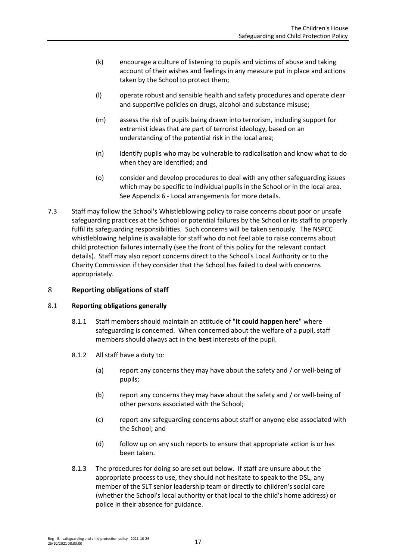- (k) encourage a culture of listening to pupils and victims of abuse and taking account of their wishes and feelings in any measure put in place and actions taken by the School to protect them;
- (l) operate robust and sensible health and safety procedures and operate clear and supportive policies on drugs, alcohol and substance misuse;
- (m) assess the risk of pupils being drawn into terrorism, including support for extremist ideas that are part of terrorist ideology, based on an understanding of the potential risk in the local area;
- (n) identify pupils who may be vulnerable to radicalisation and know what to do when they are identified; and
- (o) consider and develop procedures to deal with any other safeguarding issues which may be specific to individual pupils in the School or in the local area. Se[e Appendix 6](#page-59-0) - Local arrangements for more details.
- 7.3 Staff may follow the School's Whistleblowing policy to raise concerns about poor or unsafe safeguarding practices at the School or potential failures by the School or its staff to properly fulfil its safeguarding responsibilities. Such concerns will be taken seriously. The NSPCC whistleblowing helpline is available for staff who do not feel able to raise concerns about child protection failures internally (see the front of this policy for the relevant contact details). Staff may also report concerns direct to the School's Local Authority or to the Charity Commission if they consider that the School has failed to deal with concerns appropriately.

# <span id="page-16-0"></span>8 **Reporting obligations of staff**

# 8.1 **Reporting obligations generally**

- 8.1.1 Staff members should maintain an attitude of "**it could happen here**" where safeguarding is concerned. When concerned about the welfare of a pupil, staff members should always act in the **best** interests of the pupil.
- 8.1.2 All staff have a duty to:
	- (a) report any concerns they may have about the safety and / or well-being of pupils;
	- (b) report any concerns they may have about the safety and / or well-being of other persons associated with the School;
	- (c) report any safeguarding concerns about staff or anyone else associated with the School; and
	- (d) follow up on any such reports to ensure that appropriate action is or has been taken.
- 8.1.3 The procedures for doing so are set out below. If staff are unsure about the appropriate process to use, they should not hesitate to speak to the DSL, any member of the SLT senior leadership team or directly to children's social care (whether the School's local authority or that local to the child's home address) or police in their absence for guidance.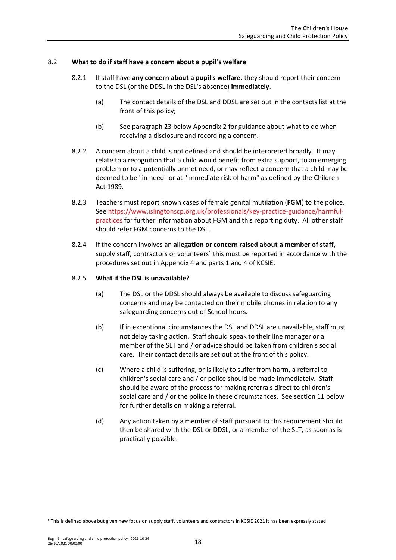## 8.2 **What to do if staff have a concern about a pupil's welfare**

- 8.2.1 If staff have **any concern about a pupil's welfare**, they should report their concern to the DSL (or the DDSL in the DSL's absence) **immediately**.
	- (a) The contact details of the DSL and DDSL are set out in the contacts list at the front of this policy;
	- (b) See paragraph [23](#page-28-0) below [Appendix 2](#page-45-0) for guidance about what to do when receiving a disclosure and recording a concern.
- 8.2.2 A concern about a child is not defined and should be interpreted broadly. It may relate to a recognition that a child would benefit from extra support, to an emerging problem or to a potentially unmet need, or may reflect a concern that a child may be deemed to be "in need" or at "immediate risk of harm" as defined by the Children Act 1989.
- 8.2.3 Teachers must report known cases of female genital mutilation (**FGM**) to the police. Se[e https://www.islingtonscp.org.uk/professionals/key-practice-guidance/harmful](https://www.islingtonscp.org.uk/professionals/key-practice-guidance/harmful-practices)[practices](https://www.islingtonscp.org.uk/professionals/key-practice-guidance/harmful-practices) for further information about FGM and this reporting duty. All other staff should refer FGM concerns to the DSL.
- 8.2.4 If the concern involves an **allegation or concern raised about a member of staff**, supply staff, contractors or volunteers<sup>5</sup> this must be reported in accordance with the procedures set out i[n Appendix 4](#page-51-0) and parts 1 and 4 of KCSIE.

#### 8.2.5 **What if the DSL is unavailable?**

- (a) The DSL or the DDSL should always be available to discuss safeguarding concerns and may be contacted on their mobile phones in relation to any safeguarding concerns out of School hours.
- (b) If in exceptional circumstances the DSL and DDSL are unavailable, staff must not delay taking action. Staff should speak to their line manager or a member of the SLT and / or advice should be taken from children's social care. Their contact details are set out at the front of this policy.
- (c) Where a child is suffering, or is likely to suffer from harm, a referral to children's social care and / or police should be made immediately. Staff should be aware of the process for making referrals direct to children's social care and / or the police in these circumstances. See sectio[n 11](#page-20-0) below for further details on making a referral.
- (d) Any action taken by a member of staff pursuant to this requirement should then be shared with the DSL or DDSL, or a member of the SLT, as soon as is practically possible.

<sup>5</sup> This is defined above but given new focus on supply staff, volunteers and contractors in KCSIE 2021 it has been expressly stated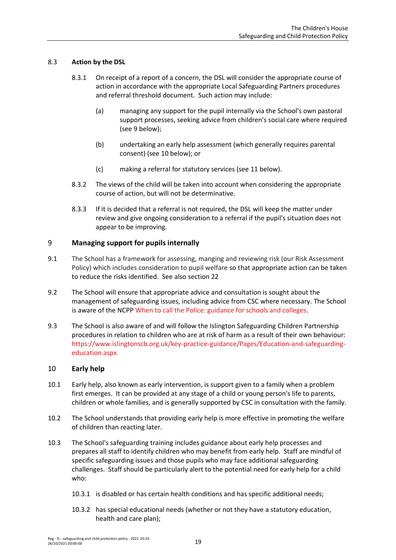# 8.3 **Action by the DSL**

- 8.3.1 On receipt of a report of a concern, the DSL will consider the appropriate course of action in accordance with the appropriate Local Safeguarding Partners procedures and referral threshold document. Such action may include:
	- (a) managing any support for the pupil internally via the School's own pastoral support processes, seeking advice from children's social care where required (see [9](#page-18-0) below);
	- (b) undertaking an early help assessment (which generally requires parental consent) (see [10](#page-18-1) below); or
	- (c) making a referral for statutory services (see [11](#page-20-0) below).
- 8.3.2 The views of the child will be taken into account when considering the appropriate course of action, but will not be determinative.
- 8.3.3 If it is decided that a referral is not required, the DSL will keep the matter under review and give ongoing consideration to a referral if the pupil's situation does not appear to be improving.

# <span id="page-18-0"></span>9 **Managing support for pupils internally**

- 9.1 The School has a framework for assessing, manging and reviewing risk (our Risk Assessment Policy) which includes consideration to pupil welfare so that appropriate action can be taken to reduce the risks identified. See also sectio[n 22](#page-27-0)
- 9.2 The School will ensure that appropriate advice and consultation is sought about the management of safeguarding issues, including advice from CSC where necessary. The School is aware of the NCPP [When to call the Police: guidance for schools and colleges.](https://www.npcc.police.uk/documents/Children%20and%20Young%20people/When%20to%20call%20the%20police%20guidance%20for%20schools%20and%20colleges.pdf)
- 9.3 The School is also aware of and will follow the Islington Safeguarding Children Partnership procedures in relation to children who are at risk of harm as a result of their own behaviour: [https://www.islingtonscb.org.uk/key-practice-guidance/Pages/Education-and-safeguarding](https://www.islingtonscb.org.uk/key-practice-guidance/Pages/Education-and-safeguarding-education.aspx)[education.aspx](https://www.islingtonscb.org.uk/key-practice-guidance/Pages/Education-and-safeguarding-education.aspx)

# <span id="page-18-1"></span>10 **Early help**

- 10.1 Early help, also known as early intervention, is support given to a family when a problem first emerges. It can be provided at any stage of a child or young person's life to parents, children or whole families, and is generally supported by CSC in consultation with the family.
- 10.2 The School understands that providing early help is more effective in promoting the welfare of children than reacting later.
- 10.3 The School's safeguarding training includes guidance about early help processes and prepares all staff to identify children who may benefit from early help. Staff are mindful of specific safeguarding issues and those pupils who may face additional safeguarding challenges. Staff should be particularly alert to the potential need for early help for a child who:
	- 10.3.1 is disabled or has certain health conditions and has specific additional needs;
	- 10.3.2 has special educational needs (whether or not they have a statutory education, health and care plan);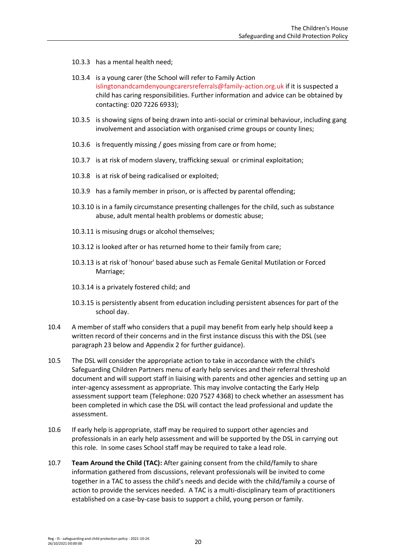- 10.3.3 has a mental health need;
- 10.3.4 is a young carer (the School will refer to Family Action [islingtonandcamdenyoungcarersreferrals@family-action.org.uk](mailto:islingtonandcamdenyoungcarersreferrals@family-action.org.uk) if it is suspected a child has caring responsibilities. Further information and advice can be obtained by contacting: 020 7226 6933);
- 10.3.5 is showing signs of being drawn into anti-social or criminal behaviour, including gang involvement and association with organised crime groups or county lines;
- 10.3.6 is frequently missing / goes missing from care or from home;
- 10.3.7 is at risk of modern slavery, trafficking sexual or criminal exploitation;
- 10.3.8 is at risk of being radicalised or exploited;
- 10.3.9 has a family member in prison, or is affected by parental offending;
- 10.3.10 is in a family circumstance presenting challenges for the child, such as substance abuse, adult mental health problems or domestic abuse;
- 10.3.11 is misusing drugs or alcohol themselves;
- 10.3.12 is looked after or has returned home to their family from care;
- 10.3.13 is at risk of 'honour' based abuse such as Female Genital Mutilation or Forced Marriage;
- 10.3.14 is a privately fostered child; and
- 10.3.15 is persistently absent from education including persistent absences for part of the school day.
- 10.4 A member of staff who considers that a pupil may benefit from early help should keep a written record of their concerns and in the first instance discuss this with the DSL (see paragraph [23](#page-28-0) below and [Appendix 2](#page-45-0) for further guidance).
- 10.5 The DSL will consider the appropriate action to take in accordance with the child's Safeguarding Children Partners menu of early help services and their referral threshold document and will support staff in liaising with parents and other agencies and setting up an inter-agency assessment as appropriate. This may involve contacting the Early Help assessment support team (Telephone: 020 7527 4368) to check whether an assessment has been completed in which case the DSL will contact the lead professional and update the assessment.
- 10.6 If early help is appropriate, staff may be required to support other agencies and professionals in an early help assessment and will be supported by the DSL in carrying out this role. In some cases School staff may be required to take a lead role.
- 10.7 **Team Around the Child (TAC):** After gaining consent from the child/family to share information gathered from discussions, relevant professionals will be invited to come together in a TAC to assess the child's needs and decide with the child/family a course of action to provide the services needed. A TAC is a multi-disciplinary team of practitioners established on a case-by-case basis to support a child, young person or family.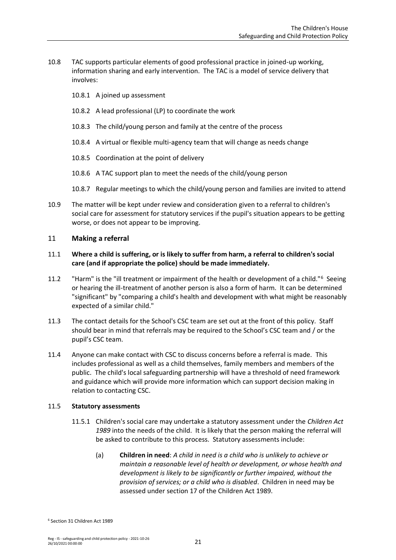- 10.8 TAC supports particular elements of good professional practice in joined-up working, information sharing and early intervention. The TAC is a model of service delivery that involves:
	- 10.8.1 A joined up assessment
	- 10.8.2 A lead professional (LP) to coordinate the work
	- 10.8.3 The child/young person and family at the centre of the process
	- 10.8.4 A virtual or flexible multi-agency team that will change as needs change
	- 10.8.5 Coordination at the point of delivery
	- 10.8.6 A TAC support plan to meet the needs of the child/young person
	- 10.8.7 Regular meetings to which the child/young person and families are invited to attend
- 10.9 The matter will be kept under review and consideration given to a referral to children's social care for assessment for statutory services if the pupil's situation appears to be getting worse, or does not appear to be improving.

## <span id="page-20-0"></span>11 **Making a referral**

## 11.1 **Where a child is suffering, or is likely to suffer from harm, a referral to children's social care (and if appropriate the police) should be made immediately.**

- 11.2 "Harm" is the "ill treatment or impairment of the health or development of a child."<sup>6</sup> Seeing or hearing the ill-treatment of another person is also a form of harm. It can be determined "significant" by "comparing a child's health and development with what might be reasonably expected of a similar child."
- 11.3 The contact details for the School's CSC team are set out at the front of this policy. Staff should bear in mind that referrals may be required to the School's CSC team and / or the pupil's CSC team.
- 11.4 Anyone can make contact with CSC to discuss concerns before a referral is made. This includes professional as well as a child themselves, family members and members of the public. The child's local safeguarding partnership will have a threshold of need framework and guidance which will provide more information which can support decision making in relation to contacting CSC.

#### 11.5 **Statutory assessments**

- 11.5.1 Children's social care may undertake a statutory assessment under the *Children Act 1989* into the needs of the child. It is likely that the person making the referral will be asked to contribute to this process. Statutory assessments include:
	- (a) **Children in need**: *A child in need is a child who is unlikely to achieve or maintain a reasonable level of health or development, or whose health and development is likely to be significantly or further impaired, without the provision of services; or a child who is disabled*. Children in need may be assessed under section 17 of the Children Act 1989.

<sup>6</sup> Section 31 Children Act 1989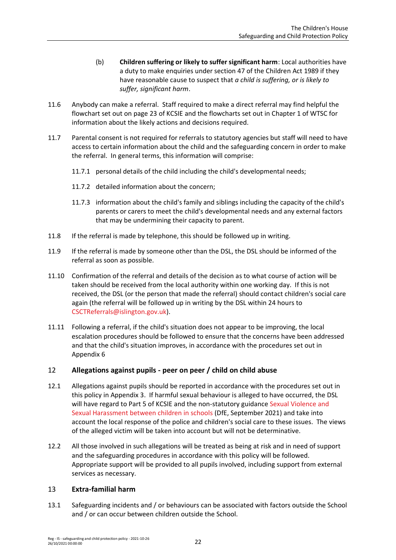- (b) **Children suffering or likely to suffer significant harm**: Local authorities have a duty to make enquiries under section 47 of the Children Act 1989 if they have reasonable cause to suspect that *a child is suffering, or is likely to suffer, significant harm*.
- 11.6 Anybody can make a referral. Staff required to make a direct referral may find helpful the flowchart set out on page 23 of KCSIE and the flowcharts set out in Chapter 1 of WTSC for information about the likely actions and decisions required.
- 11.7 Parental consent is not required for referrals to statutory agencies but staff will need to have access to certain information about the child and the safeguarding concern in order to make the referral. In general terms, this information will comprise:
	- 11.7.1 personal details of the child including the child's developmental needs;
	- 11.7.2 detailed information about the concern;
	- 11.7.3 information about the child's family and siblings including the capacity of the child's parents or carers to meet the child's developmental needs and any external factors that may be undermining their capacity to parent.
- 11.8 If the referral is made by telephone, this should be followed up in writing.
- 11.9 If the referral is made by someone other than the DSL, the DSL should be informed of the referral as soon as possible.
- 11.10 Confirmation of the referral and details of the decision as to what course of action will be taken should be received from the local authority within one working day. If this is not received, the DSL (or the person that made the referral) should contact children's social care again (the referral will be followed up in writing by the DSL within 24 hours to [CSCTReferrals@islington.gov.uk\)](mailto:CSCTReferrals@islington.gov.uk).
- 11.11 Following a referral, if the child's situation does not appear to be improving, the local escalation procedures should be followed to ensure that the concerns have been addressed and that the child's situation improves, in accordance with the procedures set out in [Appendix 6](#page-59-0)

# <span id="page-21-0"></span>12 **Allegations against pupils - peer on peer / child on child abuse**

- 12.1 Allegations against pupils should be reported in accordance with the procedures set out in this policy in [Appendix 3.](#page-47-0) If harmful sexual behaviour is alleged to have occurred, the DSL will have regard to Part 5 of KCSIE and the non-statutory guidanc[e Sexual Violence and](https://www.gov.uk/government/publications/sexual-violence-and-sexual-harassment-between-children-in-schools-and-colleges)  [Sexual Harassment between children in schools](https://www.gov.uk/government/publications/sexual-violence-and-sexual-harassment-between-children-in-schools-and-colleges) (DfE, September 2021) and take into account the local response of the police and children's social care to these issues. The views of the alleged victim will be taken into account but will not be determinative.
- 12.2 All those involved in such allegations will be treated as being at risk and in need of support and the safeguarding procedures in accordance with this policy will be followed. Appropriate support will be provided to all pupils involved, including support from external services as necessary.

# <span id="page-21-1"></span>13 **Extra-familial harm**

13.1 Safeguarding incidents and / or behaviours can be associated with factors outside the School and / or can occur between children outside the School.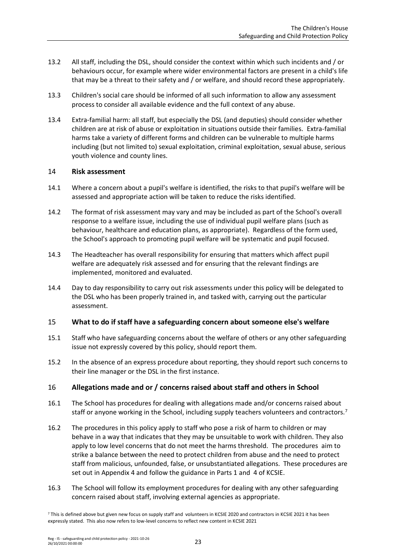- 13.2 All staff, including the DSL, should consider the context within which such incidents and / or behaviours occur, for example where wider environmental factors are present in a child's life that may be a threat to their safety and / or welfare, and should record these appropriately.
- 13.3 Children's social care should be informed of all such information to allow any assessment process to consider all available evidence and the full context of any abuse.
- 13.4 Extra-familial harm: all staff, but especially the DSL (and deputies) should consider whether children are at risk of abuse or exploitation in situations outside their families. Extra-familial harms take a variety of different forms and children can be vulnerable to multiple harms including (but not limited to) sexual exploitation, criminal exploitation, sexual abuse, serious youth violence and county lines.

#### <span id="page-22-0"></span>14 **Risk assessment**

- 14.1 Where a concern about a pupil's welfare is identified, the risks to that pupil's welfare will be assessed and appropriate action will be taken to reduce the risks identified.
- 14.2 The format of risk assessment may vary and may be included as part of the School's overall response to a welfare issue, including the use of individual pupil welfare plans (such as behaviour, healthcare and education plans, as appropriate). Regardless of the form used, the School's approach to promoting pupil welfare will be systematic and pupil focused.
- 14.3 The Headteacher has overall responsibility for ensuring that matters which affect pupil welfare are adequately risk assessed and for ensuring that the relevant findings are implemented, monitored and evaluated.
- 14.4 Day to day responsibility to carry out risk assessments under this policy will be delegated to the DSL who has been properly trained in, and tasked with, carrying out the particular assessment.

# <span id="page-22-1"></span>15 **What to do if staff have a safeguarding concern about someone else's welfare**

- 15.1 Staff who have safeguarding concerns about the welfare of others or any other safeguarding issue not expressly covered by this policy, should report them.
- 15.2 In the absence of an express procedure about reporting, they should report such concerns to their line manager or the DSL in the first instance.

# <span id="page-22-2"></span>16 **Allegations made and or / concerns raised about staff and others in School**

- 16.1 The School has procedures for dealing with allegations made and/or concerns raised about staff or anyone working in the School, including supply teachers volunteers and contractors.<sup>7</sup>
- 16.2 The procedures in this policy apply to staff who pose a risk of harm to children or may behave in a way that indicates that they may be unsuitable to work with children. They also apply to low level concerns that do not meet the harms threshold. The procedures aim to strike a balance between the need to protect children from abuse and the need to protect staff from malicious, unfounded, false, or unsubstantiated allegations. These procedures are set out i[n Appendix 4](#page-51-0) and follow the guidance in Parts 1 and 4 of KCSIE.
- 16.3 The School will follow its employment procedures for dealing with any other safeguarding concern raised about staff, involving external agencies as appropriate.

<sup>7</sup> This is defined above but given new focus on supply staff and volunteers in KCSIE 2020 and contractors in KCSIE 2021 it has been expressly stated. This also now refers to low-level concerns to reflect new content in KCSIE 2021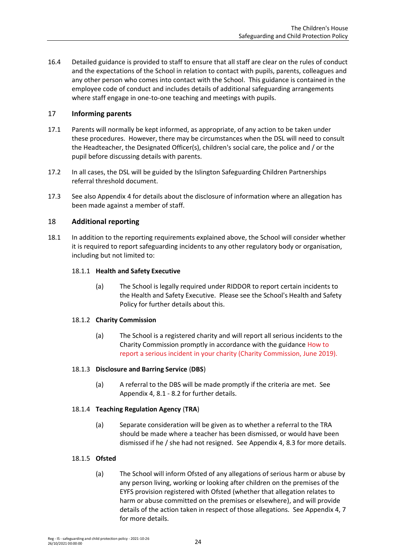16.4 Detailed guidance is provided to staff to ensure that all staff are clear on the rules of conduct and the expectations of the School in relation to contact with pupils, parents, colleagues and any other person who comes into contact with the School. This guidance is contained in the employee code of conduct and includes details of additional safeguarding arrangements where staff engage in one-to-one teaching and meetings with pupils.

# <span id="page-23-0"></span>17 **Informing parents**

- 17.1 Parents will normally be kept informed, as appropriate, of any action to be taken under these procedures. However, there may be circumstances when the DSL will need to consult the Headteacher, the Designated Officer(s), children's social care, the police and / or the pupil before discussing details with parents.
- 17.2 In all cases, the DSL will be guided by the Islington Safeguarding Children Partnerships referral threshold document.
- 17.3 See also [Appendix 4](#page-51-0) for details about the disclosure of information where an allegation has been made against a member of staff.

# <span id="page-23-1"></span>18 **Additional reporting**

18.1 In addition to the reporting requirements explained above, the School will consider whether it is required to report safeguarding incidents to any other regulatory body or organisation, including but not limited to:

# 18.1.1 **Health and Safety Executive**

(a) The School is legally required under RIDDOR to report certain incidents to the Health and Safety Executive. Please see the School's Health and Safety Policy for further details about this.

# 18.1.2 **Charity Commission**

(a) The School is a registered charity and will report all serious incidents to the Charity Commission promptly in accordance with the guidance [How to](https://www.gov.uk/guidance/how-to-report-a-serious-incident-in-your-charity)  [report a serious incident in your charity \(Charity Commission, June 2019\).](https://www.gov.uk/guidance/how-to-report-a-serious-incident-in-your-charity)

# 18.1.3 **Disclosure and Barring Service** (**DBS**)

(a) A referral to the DBS will be made promptly if the criteria are met. See [Appendix 4,](#page-51-0) [8.1](#page-54-0) - [8.2](#page-55-0) for further details.

# 18.1.4 **Teaching Regulation Agency** (**TRA**)

(a) Separate consideration will be given as to whether a referral to the TRA should be made where a teacher has been dismissed, or would have been dismissed if he / she had not resigned. See [Appendix 4,](#page-51-0) [8.3](#page-55-1) for more details.

# 18.1.5 **Ofsted**

(a) The School will inform Ofsted of any allegations of serious harm or abuse by any person living, working or looking after children on the premises of the EYFS provision registered with Ofsted (whether that allegation relates to harm or abuse committed on the premises or elsewhere), and will provide details of the action taken in respect of those allegations. See [Appendix 4,](#page-51-0) [7](#page-54-1) for more details.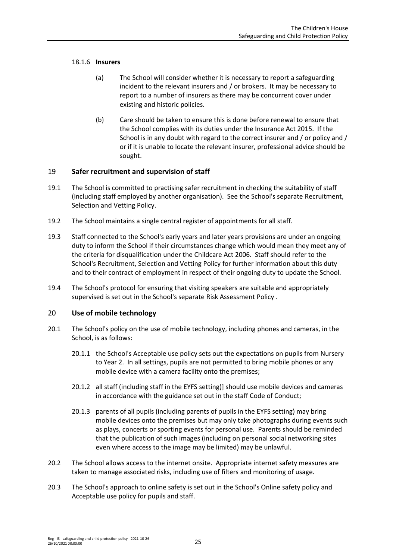## 18.1.6 **Insurers**

- (a) The School will consider whether it is necessary to report a safeguarding incident to the relevant insurers and / or brokers. It may be necessary to report to a number of insurers as there may be concurrent cover under existing and historic policies.
- (b) Care should be taken to ensure this is done before renewal to ensure that the School complies with its duties under the Insurance Act 2015. If the School is in any doubt with regard to the correct insurer and / or policy and / or if it is unable to locate the relevant insurer, professional advice should be sought.

# <span id="page-24-0"></span>19 **Safer recruitment and supervision of staff**

- 19.1 The School is committed to practising safer recruitment in checking the suitability of staff (including staff employed by another organisation). See the School's separate Recruitment, Selection and Vetting Policy.
- 19.2 The School maintains a single central register of appointments for all staff.
- 19.3 Staff connected to the School's early years and later years provisions are under an ongoing duty to inform the School if their circumstances change which would mean they meet any of the criteria for disqualification under the Childcare Act 2006. Staff should refer to the School's Recruitment, Selection and Vetting Policy for further information about this duty and to their contract of employment in respect of their ongoing duty to update the School.
- 19.4 The School's protocol for ensuring that visiting speakers are suitable and appropriately supervised is set out in the School's separate Risk Assessment Policy .

# <span id="page-24-1"></span>20 **Use of mobile technology**

- 20.1 The School's policy on the use of mobile technology, including phones and cameras, in the School, is as follows:
	- 20.1.1 the School's Acceptable use policy sets out the expectations on pupils from Nursery to Year 2. In all settings, pupils are not permitted to bring mobile phones or any mobile device with a camera facility onto the premises;
	- 20.1.2 all staff (including staff in the EYFS setting)] should use mobile devices and cameras in accordance with the guidance set out in the staff Code of Conduct;
	- 20.1.3 parents of all pupils (including parents of pupils in the EYFS setting) may bring mobile devices onto the premises but may only take photographs during events such as plays, concerts or sporting events for personal use. Parents should be reminded that the publication of such images (including on personal social networking sites even where access to the image may be limited) may be unlawful.
- 20.2 The School allows access to the internet onsite. Appropriate internet safety measures are taken to manage associated risks, including use of filters and monitoring of usage.
- 20.3 The School's approach to online safety is set out in the School's Online safety policy and Acceptable use policy for pupils and staff.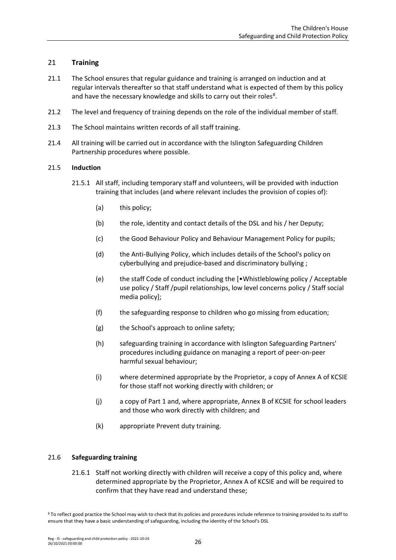# <span id="page-25-0"></span>21 **Training**

- 21.1 The School ensures that regular guidance and training is arranged on induction and at regular intervals thereafter so that staff understand what is expected of them by this policy and have the necessary knowledge and skills to carry out their roles<sup>8</sup>.
- 21.2 The level and frequency of training depends on the role of the individual member of staff.
- 21.3 The School maintains written records of all staff training.
- 21.4 All training will be carried out in accordance with the Islington Safeguarding Children Partnership procedures where possible.

#### 21.5 **Induction**

- 21.5.1 All staff, including temporary staff and volunteers, will be provided with induction training that includes (and where relevant includes the provision of copies of):
	- (a) this policy;
	- (b) the role, identity and contact details of the DSL and his / her Deputy;
	- (c) the Good Behaviour Policy and Behaviour Management Policy for pupils;
	- (d) the Anti-Bullying Policy, which includes details of the School's policy on cyberbullying and prejudice-based and discriminatory bullying ;
	- (e) the staff Code of conduct including the [•Whistleblowing policy / Acceptable use policy / Staff /pupil relationships, low level concerns policy / Staff social media policy];
	- (f) the safeguarding response to children who go missing from education;
	- (g) the School's approach to online safety;
	- (h) safeguarding training in accordance with Islington Safeguarding Partners' procedures including guidance on managing a report of peer-on-peer harmful sexual behaviour;
	- (i) where determined appropriate by the Proprietor, a copy of Annex A of KCSIE for those staff not working directly with children; or
	- (j) a copy of Part 1 and, where appropriate, Annex B of KCSIE for school leaders and those who work directly with children; and
	- (k) appropriate Prevent duty training.

#### 21.6 **Safeguarding training**

21.6.1 Staff not working directly with children will receive a copy of this policy and, where determined appropriate by the Proprietor, Annex A of KCSIE and will be required to confirm that they have read and understand these;

<sup>&</sup>lt;sup>8</sup> To reflect good practice the School may wish to check that its policies and procedures include reference to training provided to its staff to ensure that they have a basic understanding of safeguarding, including the identity of the School's DSL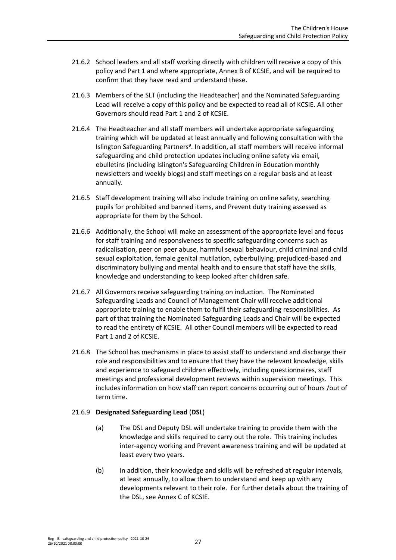- 21.6.2 School leaders and all staff working directly with children will receive a copy of this policy and Part 1 and where appropriate, Annex B of KCSIE, and will be required to confirm that they have read and understand these.
- 21.6.3 Members of the SLT (including the Headteacher) and the Nominated Safeguarding Lead will receive a copy of this policy and be expected to read all of KCSIE. All other Governors should read Part 1 and 2 of KCSIE.
- 21.6.4 The Headteacher and all staff members will undertake appropriate safeguarding training which will be updated at least annually and following consultation with the Islington Safeguarding Partners<sup>9</sup>. In addition, all staff members will receive informal safeguarding and child protection updates including online safety via email, ebulletins (including Islington's Safeguarding Children in Education monthly newsletters and weekly blogs) and staff meetings on a regular basis and at least annually.
- 21.6.5 Staff development training will also include training on online safety, searching pupils for prohibited and banned items, and Prevent duty training assessed as appropriate for them by the School.
- 21.6.6 Additionally, the School will make an assessment of the appropriate level and focus for staff training and responsiveness to specific safeguarding concerns such as radicalisation, peer on peer abuse, harmful sexual behaviour, child criminal and child sexual exploitation, female genital mutilation, cyberbullying, prejudiced-based and discriminatory bullying and mental health and to ensure that staff have the skills, knowledge and understanding to keep looked after children safe.
- 21.6.7 All Governors receive safeguarding training on induction. The Nominated Safeguarding Leads and Council of Management Chair will receive additional appropriate training to enable them to fulfil their safeguarding responsibilities. As part of that training the Nominated Safeguarding Leads and Chair will be expected to read the entirety of KCSIE. All other Council members will be expected to read Part 1 and 2 of KCSIE.
- 21.6.8 The School has mechanisms in place to assist staff to understand and discharge their role and responsibilities and to ensure that they have the relevant knowledge, skills and experience to safeguard children effectively, including questionnaires, staff meetings and professional development reviews within supervision meetings. This includes information on how staff can report concerns occurring out of hours /out of term time.

# 21.6.9 **Designated Safeguarding Lead** (**DSL**)

- (a) The DSL and Deputy DSL will undertake training to provide them with the knowledge and skills required to carry out the role. This training includes inter-agency working and Prevent awareness training and will be updated at least every two years.
- (b) In addition, their knowledge and skills will be refreshed at regular intervals, at least annually, to allow them to understand and keep up with any developments relevant to their role. For further details about the training of the DSL, see Annex C of KCSIE.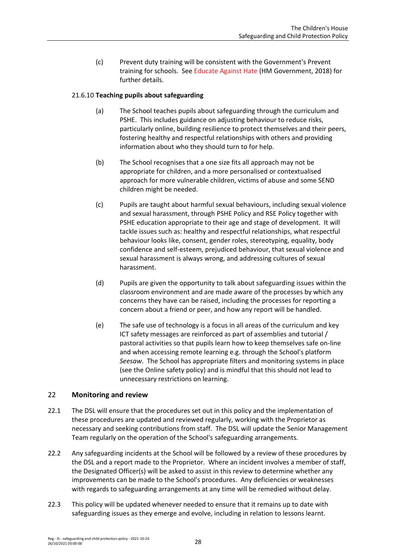(c) Prevent duty training will be consistent with the Government's Prevent training for schools. See [Educate Against Hate](https://educateagainsthate.com/) (HM Government, 2018) for further details.

# 21.6.10 **Teaching pupils about safeguarding**

- (a) The School teaches pupils about safeguarding through the curriculum and PSHE. This includes guidance on adjusting behaviour to reduce risks, particularly online, building resilience to protect themselves and their peers, fostering healthy and respectful relationships with others and providing information about who they should turn to for help.
- (b) The School recognises that a one size fits all approach may not be appropriate for children, and a more personalised or contextualised approach for more vulnerable children, victims of abuse and some SEND children might be needed.
- (c) Pupils are taught about harmful sexual behaviours, including sexual violence and sexual harassment, through PSHE Policy and RSE Policy together with PSHE education appropriate to their age and stage of development. It will tackle issues such as: healthy and respectful relationships, what respectful behaviour looks like, consent, gender roles, stereotyping, equality, body confidence and self-esteem, prejudiced behaviour, that sexual violence and sexual harassment is always wrong, and addressing cultures of sexual harassment.
- (d) Pupils are given the opportunity to talk about safeguarding issues within the classroom environment and are made aware of the processes by which any concerns they have can be raised, including the processes for reporting a concern about a friend or peer, and how any report will be handled.
- (e) The safe use of technology is a focus in all areas of the curriculum and key ICT safety messages are reinforced as part of assemblies and tutorial / pastoral activities so that pupils learn how to keep themselves safe on-line and when accessing remote learning e.g. through the School's platform *Seesaw*. The School has appropriate filters and monitoring systems in place (see the Online safety policy) and is mindful that this should not lead to unnecessary restrictions on learning.

# <span id="page-27-0"></span>22 **Monitoring and review**

- 22.1 The DSL will ensure that the procedures set out in this policy and the implementation of these procedures are updated and reviewed regularly, working with the Proprietor as necessary and seeking contributions from staff. The DSL will update the Senior Management Team regularly on the operation of the School's safeguarding arrangements.
- 22.2 Any safeguarding incidents at the School will be followed by a review of these procedures by the DSL and a report made to the Proprietor. Where an incident involves a member of staff, the Designated Officer(s) will be asked to assist in this review to determine whether any improvements can be made to the School's procedures. Any deficiencies or weaknesses with regards to safeguarding arrangements at any time will be remedied without delay.
- 22.3 This policy will be updated whenever needed to ensure that it remains up to date with safeguarding issues as they emerge and evolve, including in relation to lessons learnt.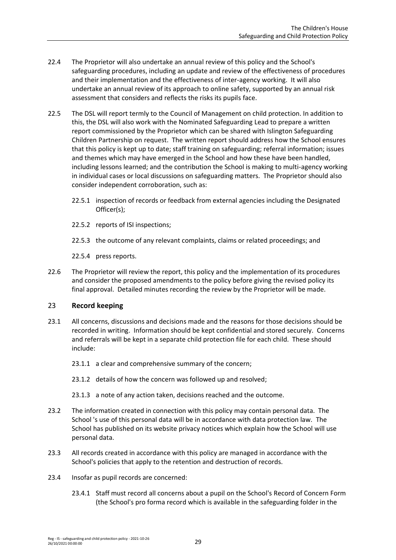- 22.4 The Proprietor will also undertake an annual review of this policy and the School's safeguarding procedures, including an update and review of the effectiveness of procedures and their implementation and the effectiveness of inter-agency working. It will also undertake an annual review of its approach to online safety, supported by an annual risk assessment that considers and reflects the risks its pupils face.
- 22.5 The DSL will report termly to the Council of Management on child protection. In addition to this, the DSL will also work with the Nominated Safeguarding Lead to prepare a written report commissioned by the Proprietor which can be shared with Islington Safeguarding Children Partnership on request. The written report should address how the School ensures that this policy is kept up to date; staff training on safeguarding; referral information; issues and themes which may have emerged in the School and how these have been handled, including lessons learned; and the contribution the School is making to multi-agency working in individual cases or local discussions on safeguarding matters. The Proprietor should also consider independent corroboration, such as:
	- 22.5.1 inspection of records or feedback from external agencies including the Designated Officer(s);
	- 22.5.2 reports of ISI inspections;
	- 22.5.3 the outcome of any relevant complaints, claims or related proceedings; and
	- 22.5.4 press reports.
- 22.6 The Proprietor will review the report, this policy and the implementation of its procedures and consider the proposed amendments to the policy before giving the revised policy its final approval. Detailed minutes recording the review by the Proprietor will be made.

# <span id="page-28-0"></span>23 **Record keeping**

- 23.1 All concerns, discussions and decisions made and the reasons for those decisions should be recorded in writing. Information should be kept confidential and stored securely. Concerns and referrals will be kept in a separate child protection file for each child. These should include:
	- 23.1.1 a clear and comprehensive summary of the concern;
	- 23.1.2 details of how the concern was followed up and resolved;
	- 23.1.3 a note of any action taken, decisions reached and the outcome.
- 23.2 The information created in connection with this policy may contain personal data. The School 's use of this personal data will be in accordance with data protection law. The School has published on its website privacy notices which explain how the School will use personal data.
- 23.3 All records created in accordance with this policy are managed in accordance with the School's policies that apply to the retention and destruction of records.
- 23.4 Insofar as pupil records are concerned:
	- 23.4.1 Staff must record all concerns about a pupil on the School's Record of Concern Form (the School's pro forma record which is available in the safeguarding folder in the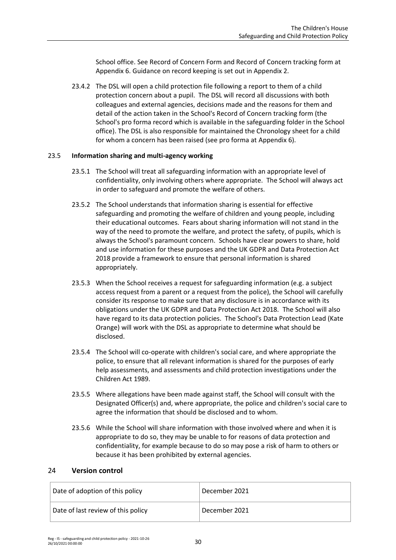School office. See Record of Concern Form and Record of Concern tracking form at [Appendix 6.](#page-59-0) Guidance on record keeping is set out i[n Appendix 2.](#page-45-0)

23.4.2 The DSL will open a child protection file following a report to them of a child protection concern about a pupil. The DSL will record all discussions with both colleagues and external agencies, decisions made and the reasons for them and detail of the action taken in the School's Record of Concern tracking form (the School's pro forma record which is available in the safeguarding folder in the School office). The DSL is also responsible for maintained the Chronology sheet for a child for whom a concern has been raised (see pro forma at [Appendix 6\)](#page-59-0).

## 23.5 **Information sharing and multi-agency working**

- 23.5.1 The School will treat all safeguarding information with an appropriate level of confidentiality, only involving others where appropriate. The School will always act in order to safeguard and promote the welfare of others.
- 23.5.2 The School understands that information sharing is essential for effective safeguarding and promoting the welfare of children and young people, including their educational outcomes. Fears about sharing information will not stand in the way of the need to promote the welfare, and protect the safety, of pupils, which is always the School's paramount concern. Schools have clear powers to share, hold and use information for these purposes and the UK GDPR and Data Protection Act 2018 provide a framework to ensure that personal information is shared appropriately.
- 23.5.3 When the School receives a request for safeguarding information (e.g. a subject access request from a parent or a request from the police), the School will carefully consider its response to make sure that any disclosure is in accordance with its obligations under the UK GDPR and Data Protection Act 2018. The School will also have regard to its data protection policies. The School's Data Protection Lead (Kate Orange) will work with the DSL as appropriate to determine what should be disclosed.
- 23.5.4 The School will co-operate with children's social care, and where appropriate the police, to ensure that all relevant information is shared for the purposes of early help assessments, and assessments and child protection investigations under the Children Act 1989.
- 23.5.5 Where allegations have been made against staff, the School will consult with the Designated Officer(s) and, where appropriate, the police and children's social care to agree the information that should be disclosed and to whom.
- 23.5.6 While the School will share information with those involved where and when it is appropriate to do so, they may be unable to for reasons of data protection and confidentiality, for example because to do so may pose a risk of harm to others or because it has been prohibited by external agencies.

#### <span id="page-29-0"></span>24 **Version control**

| Date of adoption of this policy    | December 2021 |
|------------------------------------|---------------|
| Date of last review of this policy | December 2021 |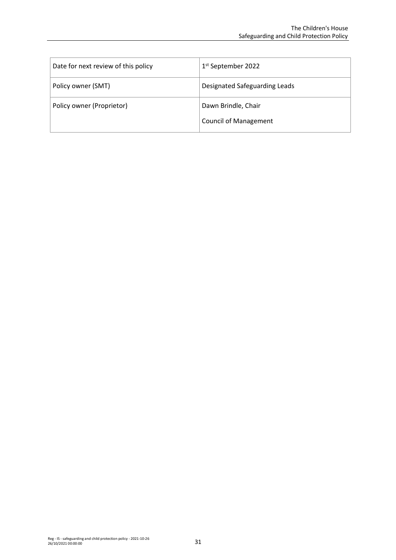| Date for next review of this policy | 1 <sup>st</sup> September 2022                      |
|-------------------------------------|-----------------------------------------------------|
| Policy owner (SMT)                  | Designated Safeguarding Leads                       |
| Policy owner (Proprietor)           | Dawn Brindle, Chair<br><b>Council of Management</b> |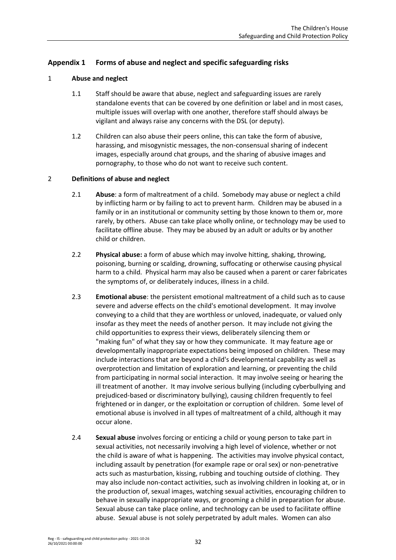# <span id="page-31-0"></span>**Appendix 1 Forms of abuse and neglect and specific safeguarding risks**

## 1 **Abuse and neglect**

- 1.1 Staff should be aware that abuse, neglect and safeguarding issues are rarely standalone events that can be covered by one definition or label and in most cases, multiple issues will overlap with one another, therefore staff should always be vigilant and always raise any concerns with the DSL (or deputy).
- 1.2 Children can also abuse their peers online, this can take the form of abusive, harassing, and misogynistic messages, the non-consensual sharing of indecent images, especially around chat groups, and the sharing of abusive images and pornography, to those who do not want to receive such content.

## 2 **Definitions of abuse and neglect**

- 2.1 **Abuse**: a form of maltreatment of a child. Somebody may abuse or neglect a child by inflicting harm or by failing to act to prevent harm. Children may be abused in a family or in an institutional or community setting by those known to them or, more rarely, by others. Abuse can take place wholly online, or technology may be used to facilitate offline abuse. They may be abused by an adult or adults or by another child or children.
- 2.2 **Physical abuse:** a form of abuse which may involve hitting, shaking, throwing, poisoning, burning or scalding, drowning, suffocating or otherwise causing physical harm to a child. Physical harm may also be caused when a parent or carer fabricates the symptoms of, or deliberately induces, illness in a child.
- 2.3 **Emotional abuse**: the persistent emotional maltreatment of a child such as to cause severe and adverse effects on the child's emotional development. It may involve conveying to a child that they are worthless or unloved, inadequate, or valued only insofar as they meet the needs of another person. It may include not giving the child opportunities to express their views, deliberately silencing them or "making fun" of what they say or how they communicate. It may feature age or developmentally inappropriate expectations being imposed on children. These may include interactions that are beyond a child's developmental capability as well as overprotection and limitation of exploration and learning, or preventing the child from participating in normal social interaction. It may involve seeing or hearing the ill treatment of another. It may involve serious bullying (including cyberbullying and prejudiced-based or discriminatory bullying), causing children frequently to feel frightened or in danger, or the exploitation or corruption of children. Some level of emotional abuse is involved in all types of maltreatment of a child, although it may occur alone.
- 2.4 **Sexual abuse** involves forcing or enticing a child or young person to take part in sexual activities, not necessarily involving a high level of violence, whether or not the child is aware of what is happening. The activities may involve physical contact, including assault by penetration (for example rape or oral sex) or non-penetrative acts such as masturbation, kissing, rubbing and touching outside of clothing. They may also include non-contact activities, such as involving children in looking at, or in the production of, sexual images, watching sexual activities, encouraging children to behave in sexually inappropriate ways, or grooming a child in preparation for abuse. Sexual abuse can take place online, and technology can be used to facilitate offline abuse. Sexual abuse is not solely perpetrated by adult males. Women can also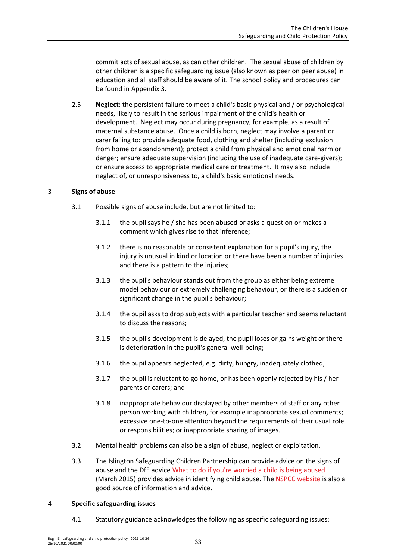commit acts of sexual abuse, as can other children. The sexual abuse of children by other children is a specific safeguarding issue (also known as peer on peer abuse) in education and all staff should be aware of it. The school policy and procedures can be found in [Appendix 3.](#page-47-0)

2.5 **Neglect**: the persistent failure to meet a child's basic physical and / or psychological needs, likely to result in the serious impairment of the child's health or development. Neglect may occur during pregnancy, for example, as a result of maternal substance abuse. Once a child is born, neglect may involve a parent or carer failing to: provide adequate food, clothing and shelter (including exclusion from home or abandonment); protect a child from physical and emotional harm or danger; ensure adequate supervision (including the use of inadequate care-givers); or ensure access to appropriate medical care or treatment. It may also include neglect of, or unresponsiveness to, a child's basic emotional needs.

# 3 **Signs of abuse**

- 3.1 Possible signs of abuse include, but are not limited to:
	- 3.1.1 the pupil says he / she has been abused or asks a question or makes a comment which gives rise to that inference;
	- 3.1.2 there is no reasonable or consistent explanation for a pupil's injury, the injury is unusual in kind or location or there have been a number of injuries and there is a pattern to the injuries;
	- 3.1.3 the pupil's behaviour stands out from the group as either being extreme model behaviour or extremely challenging behaviour, or there is a sudden or significant change in the pupil's behaviour;
	- 3.1.4 the pupil asks to drop subjects with a particular teacher and seems reluctant to discuss the reasons;
	- 3.1.5 the pupil's development is delayed, the pupil loses or gains weight or there is deterioration in the pupil's general well-being;
	- 3.1.6 the pupil appears neglected, e.g. dirty, hungry, inadequately clothed;
	- 3.1.7 the pupil is reluctant to go home, or has been openly rejected by his / her parents or carers; and
	- 3.1.8 inappropriate behaviour displayed by other members of staff or any other person working with children, for example inappropriate sexual comments; excessive one-to-one attention beyond the requirements of their usual role or responsibilities; or inappropriate sharing of images.
- 3.2 Mental health problems can also be a sign of abuse, neglect or exploitation.
- 3.3 The Islington Safeguarding Children Partnership can provide advice on the signs of abuse and the DfE advice [What to do if you're worried a child is being abused](https://www.gov.uk/government/publications/what-to-do-if-youre-worried-a-child-is-being-abused--2) (March 2015) provides advice in identifying child abuse. Th[e NSPCC website](https://www.nspcc.org.uk/) is also a good source of information and advice.

#### 4 **Specific safeguarding issues**

4.1 Statutory guidance acknowledges the following as specific safeguarding issues: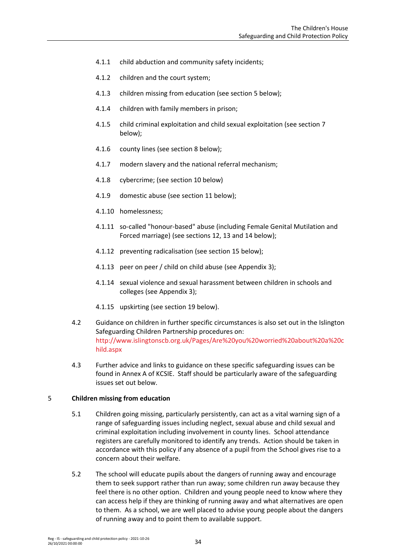- 4.1.1 child abduction and community safety incidents;
- 4.1.2 children and the court system;
- 4.1.3 children missing from education (see section [5](#page-33-0) below);
- 4.1.4 children with family members in prison;
- 4.1.5 child criminal exploitation and child sexual exploitation (see section [7](#page-34-0) below);
- 4.1.6 county lines (see section [8](#page-36-0) below);
- 4.1.7 modern slavery and the national referral mechanism;
- 4.1.8 cybercrime; (see section [10](#page-37-0) below)
- 4.1.9 domestic abuse (see section [11](#page-37-1) below);
- 4.1.10 homelessness;
- 4.1.11 so-called "honour-based" abuse (including Female Genital Mutilation and Forced marriage) (see sections [12,](#page-38-0) [13](#page-38-1) and [14](#page-39-0) below);
- 4.1.12 preventing radicalisation (see section [15](#page-39-1) below);
- 4.1.13 peer on peer / child on child abuse (se[e Appendix 3\)](#page-47-0);
- 4.1.14 sexual violence and sexual harassment between children in schools and colleges (see [Appendix 3\)](#page-47-0);
- 4.1.15 upskirting (see sectio[n 19](#page-42-0) below).
- 4.2 Guidance on children in further specific circumstances is also set out in the Islington Safeguarding Children Partnership procedures on: [http://www.islingtonscb.org.uk/Pages/Are%20you%20worried%20about%20a%20c](http://www.islingtonscb.org.uk/Pages/Are%20you%20worried%20about%20a%20child.aspx) [hild.aspx](http://www.islingtonscb.org.uk/Pages/Are%20you%20worried%20about%20a%20child.aspx)
- 4.3 Further advice and links to guidance on these specific safeguarding issues can be found in Annex A of KCSIE. Staff should be particularly aware of the safeguarding issues set out below.

## <span id="page-33-0"></span>5 **Children missing from education**

- 5.1 Children going missing, particularly persistently, can act as a vital warning sign of a range of safeguarding issues including neglect, sexual abuse and child sexual and criminal exploitation including involvement in county lines. School attendance registers are carefully monitored to identify any trends. Action should be taken in accordance with this policy if any absence of a pupil from the School gives rise to a concern about their welfare.
- 5.2 The school will educate pupils about the dangers of running away and encourage them to seek support rather than run away; some children run away because they feel there is no other option. Children and young people need to know where they can access help if they are thinking of running away and what alternatives are open to them. As a school, we are well placed to advise young people about the dangers of running away and to point them to available support.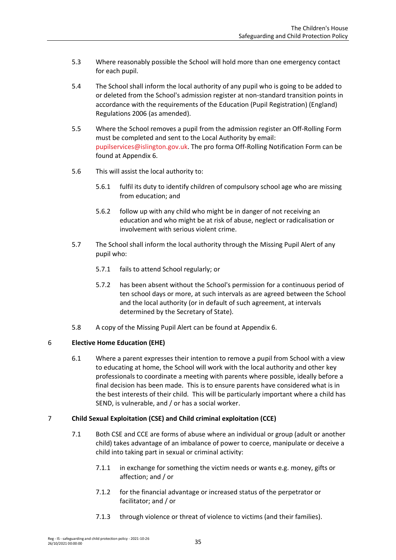- 5.3 Where reasonably possible the School will hold more than one emergency contact for each pupil.
- 5.4 The School shall inform the local authority of any pupil who is going to be added to or deleted from the School's admission register at non-standard transition points in accordance with the requirements of the Education (Pupil Registration) (England) Regulations 2006 (as amended).
- 5.5 Where the School removes a pupil from the admission register an Off-Rolling Form must be completed and sent to the Local Authority by email: [pupilservices@islington.gov.uk.](mailto:pupilservices@islington.gov.uk) The pro forma Off-Rolling Notification Form can be found at [Appendix 6.](#page-59-0)
- 5.6 This will assist the local authority to:
	- 5.6.1 fulfil its duty to identify children of compulsory school age who are missing from education; and
	- 5.6.2 follow up with any child who might be in danger of not receiving an education and who might be at risk of abuse, neglect or radicalisation or involvement with serious violent crime.
- 5.7 The School shall inform the local authority through the Missing Pupil Alert of any pupil who:
	- 5.7.1 fails to attend School regularly; or
	- 5.7.2 has been absent without the School's permission for a continuous period of ten school days or more, at such intervals as are agreed between the School and the local authority (or in default of such agreement, at intervals determined by the Secretary of State).
- 5.8 A copy of the Missing Pupil Alert can be found at [Appendix 6.](#page-59-0)

# 6 **Elective Home Education (EHE)**

6.1 Where a parent expresses their intention to remove a pupil from School with a view to educating at home, the School will work with the local authority and other key professionals to coordinate a meeting with parents where possible, ideally before a final decision has been made. This is to ensure parents have considered what is in the best interests of their child. This will be particularly important where a child has SEND, is vulnerable, and / or has a social worker.

# <span id="page-34-0"></span>7 **Child Sexual Exploitation (CSE) and Child criminal exploitation (CCE)**

- 7.1 Both CSE and CCE are forms of abuse where an individual or group (adult or another child) takes advantage of an imbalance of power to coerce, manipulate or deceive a child into taking part in sexual or criminal activity:
	- 7.1.1 in exchange for something the victim needs or wants e.g. money, gifts or affection; and / or
	- 7.1.2 for the financial advantage or increased status of the perpetrator or facilitator; and / or
	- 7.1.3 through violence or threat of violence to victims (and their families).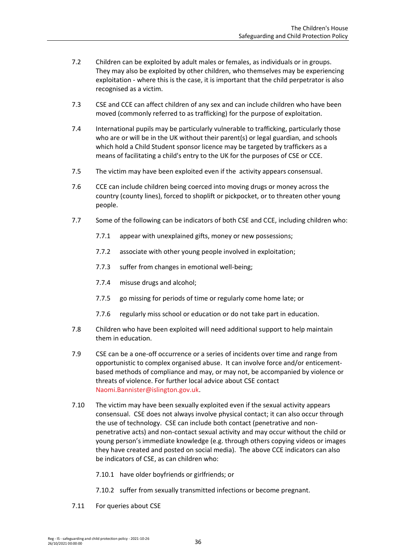- 7.2 Children can be exploited by adult males or females, as individuals or in groups. They may also be exploited by other children, who themselves may be experiencing exploitation - where this is the case, it is important that the child perpetrator is also recognised as a victim.
- 7.3 CSE and CCE can affect children of any sex and can include children who have been moved (commonly referred to as trafficking) for the purpose of exploitation.
- 7.4 International pupils may be particularly vulnerable to trafficking, particularly those who are or will be in the UK without their parent(s) or legal guardian, and schools which hold a Child Student sponsor licence may be targeted by traffickers as a means of facilitating a child's entry to the UK for the purposes of CSE or CCE.
- 7.5 The victim may have been exploited even if the activity appears consensual.
- 7.6 CCE can include children being coerced into moving drugs or money across the country (county lines), forced to shoplift or pickpocket, or to threaten other young people.
- 7.7 Some of the following can be indicators of both CSE and CCE, including children who:
	- 7.7.1 appear with unexplained gifts, money or new possessions;
	- 7.7.2 associate with other young people involved in exploitation;
	- 7.7.3 suffer from changes in emotional well-being;
	- 7.7.4 misuse drugs and alcohol;
	- 7.7.5 go missing for periods of time or regularly come home late; or
	- 7.7.6 regularly miss school or education or do not take part in education.
- 7.8 Children who have been exploited will need additional support to help maintain them in education.
- 7.9 CSE can be a one-off occurrence or a series of incidents over time and range from opportunistic to complex organised abuse. It can involve force and/or enticementbased methods of compliance and may, or may not, be accompanied by violence or threats of violence. For further local advice about CSE contact [Naomi.Bannister@islington.gov.uk.](mailto:Naomi.Bannister@islington.gov.uk)
- 7.10 The victim may have been sexually exploited even if the sexual activity appears consensual. CSE does not always involve physical contact; it can also occur through the use of technology. CSE can include both contact (penetrative and nonpenetrative acts) and non-contact sexual activity and may occur without the child or young person's immediate knowledge (e.g. through others copying videos or images they have created and posted on social media). The above CCE indicators can also be indicators of CSE, as can children who:
	- 7.10.1 have older boyfriends or girlfriends; or
	- 7.10.2 suffer from sexually transmitted infections or become pregnant.
- 7.11 For queries about CSE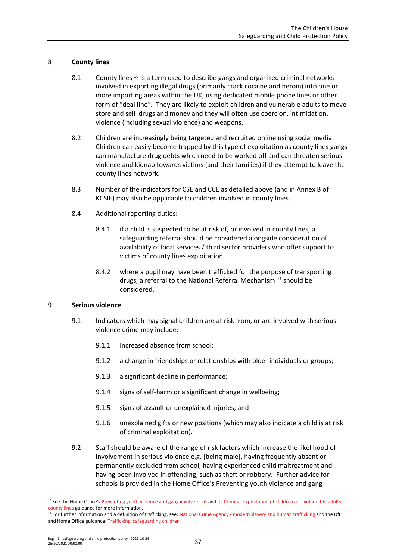## 8 **County lines**

- 8.1 County lines <sup>10</sup> is a term used to describe gangs and organised criminal networks involved in exporting illegal drugs (primarily crack cocaine and heroin) into one or more importing areas within the UK, using dedicated mobile phone lines or other form of "deal line". They are likely to exploit children and vulnerable adults to move store and sell drugs and money and they will often use coercion, intimidation, violence (including sexual violence) and weapons.
- 8.2 Children are increasingly being targeted and recruited online using social media. Children can easily become trapped by this type of exploitation as county lines gangs can manufacture drug debts which need to be worked off and can threaten serious violence and kidnap towards victims (and their families) if they attempt to leave the county lines network.
- 8.3 Number of the indicators for CSE and CCE as detailed above (and in Annex B of KCSIE) may also be applicable to children involved in county lines.
- 8.4 Additional reporting duties:
	- 8.4.1 if a child is suspected to be at risk of, or involved in county lines, a safeguarding referral should be considered alongside consideration of availability of local services / third sector providers who offer support to victims of county lines exploitation;
	- 8.4.2 where a pupil may have been trafficked for the purpose of transporting drugs, a referral to the National Referral Mechanism <sup>11</sup> should be considered.

### 9 **Serious violence**

- 9.1 Indicators which may signal children are at risk from, or are involved with serious violence crime may include:
	- 9.1.1 Increased absence from school;
	- 9.1.2 a change in friendships or relationships with older individuals or groups;
	- 9.1.3 a significant decline in performance;
	- 9.1.4 signs of self-harm or a significant change in wellbeing;
	- 9.1.5 signs of assault or unexplained injuries; and
	- 9.1.6 unexplained gifts or new positions (which may also indicate a child is at risk of criminal exploitation).
- 9.2 Staff should be aware of the range of risk factors which increase the likelihood of involvement in serious violence e.g. [being male], having frequently absent or permanently excluded from school, having experienced child maltreatment and having been involved in offending, such as theft or robbery. Further advice for schools is provided in the Home Office's Preventing youth violence and gang

<sup>&</sup>lt;sup>10</sup> See the Home Office's [Preventing youth violence and gang involvement](https://www.gov.uk/government/publications/advice-to-schools-and-colleges-on-gangs-and-youth-violence) and its Criminal exploitation of children and vulnerable adults: [county lines](https://www.gov.uk/government/publications/criminal-exploitation-of-children-and-vulnerable-adults-county-lines) guidance for more information.

<sup>&</sup>lt;sup>11</sup> For further information and a definition of trafficking, see: National Crime Agency - [modern slavery and human trafficking](https://www.nationalcrimeagency.gov.uk/what-we-do/crime-threats/modern-slavery-and-human-trafficking) and the DfE and Home Office guidance[: Trafficking: safeguarding children](https://www.gov.uk/government/publications/safeguarding-children-who-may-have-been-trafficked-practice-guidance)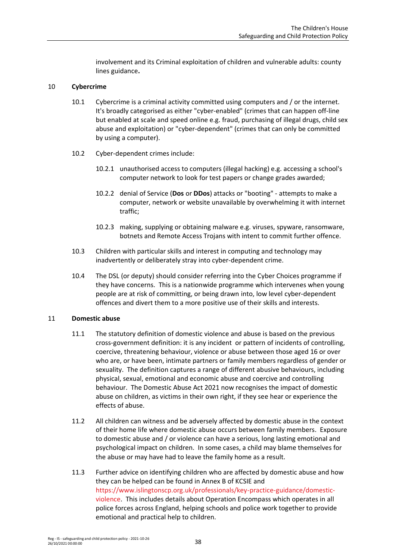involvement and its Criminal exploitation of children and vulnerable adults: county lines guidance**.**

### 10 **Cybercrime**

- 10.1 Cybercrime is a criminal activity committed using computers and / or the internet. It's broadly categorised as either "cyber-enabled" (crimes that can happen off-line but enabled at scale and speed online e.g. fraud, purchasing of illegal drugs, child sex abuse and exploitation) or "cyber-dependent" (crimes that can only be committed by using a computer).
- 10.2 Cyber-dependent crimes include:
	- 10.2.1 unauthorised access to computers (illegal hacking) e.g. accessing a school's computer network to look for test papers or change grades awarded;
	- 10.2.2 denial of Service (**Dos** or **DDos**) attacks or "booting" attempts to make a computer, network or website unavailable by overwhelming it with internet traffic;
	- 10.2.3 making, supplying or obtaining malware e.g. viruses, spyware, ransomware, botnets and Remote Access Trojans with intent to commit further offence.
- 10.3 Children with particular skills and interest in computing and technology may inadvertently or deliberately stray into cyber-dependent crime.
- 10.4 The DSL (or deputy) should consider referring into the Cyber Choices programme if they have concerns. This is a nationwide programme which intervenes when young people are at risk of committing, or being drawn into, low level cyber-dependent offences and divert them to a more positive use of their skills and interests.

### 11 **Domestic abuse**

- 11.1 The statutory definition of domestic violence and abuse is based on the previous cross-government definition: it is any incident or pattern of incidents of controlling, coercive, threatening behaviour, violence or abuse between those aged 16 or over who are, or have been, intimate partners or family members regardless of gender or sexuality. The definition captures a range of different abusive behaviours, including physical, sexual, emotional and economic abuse and coercive and controlling behaviour. The Domestic Abuse Act 2021 now recognises the impact of domestic abuse on children, as victims in their own right, if they see hear or experience the effects of abuse.
- 11.2 All children can witness and be adversely affected by domestic abuse in the context of their home life where domestic abuse occurs between family members. Exposure to domestic abuse and / or violence can have a serious, long lasting emotional and psychological impact on children. In some cases, a child may blame themselves for the abuse or may have had to leave the family home as a result.
- 11.3 Further advice on identifying children who are affected by domestic abuse and how they can be helped can be found in Annex B of KCSIE and [https://www.islingtonscp.org.uk/professionals/key-practice-guidance/domestic](https://www.islingtonscp.org.uk/professionals/key-practice-guidance/domestic-violence)[violence.](https://www.islingtonscp.org.uk/professionals/key-practice-guidance/domestic-violence) This includes details about Operation Encompass which operates in all police forces across England, helping schools and police work together to provide emotional and practical help to children.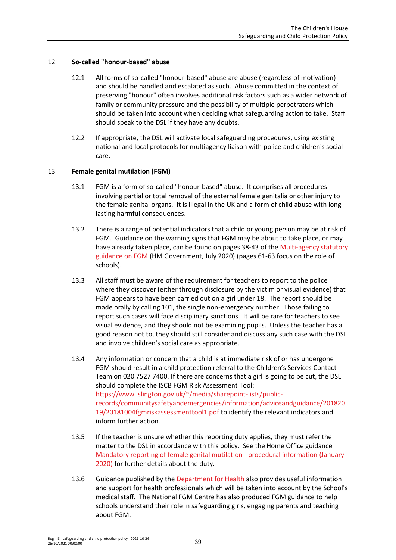## 12 **So-called "honour-based" abuse**

- 12.1 All forms of so-called "honour-based" abuse are abuse (regardless of motivation) and should be handled and escalated as such. Abuse committed in the context of preserving "honour" often involves additional risk factors such as a wider network of family or community pressure and the possibility of multiple perpetrators which should be taken into account when deciding what safeguarding action to take. Staff should speak to the DSL if they have any doubts.
- 12.2 If appropriate, the DSL will activate local safeguarding procedures, using existing national and local protocols for multiagency liaison with police and children's social care.

### 13 **Female genital mutilation (FGM)**

- 13.1 FGM is a form of so-called "honour-based" abuse. It comprises all procedures involving partial or total removal of the external female genitalia or other injury to the female genital organs. It is illegal in the UK and a form of child abuse with long lasting harmful consequences.
- 13.2 There is a range of potential indicators that a child or young person may be at risk of FGM. Guidance on the warning signs that FGM may be about to take place, or may have already taken place, can be found on pages 38-43 of the [Multi-agency statutory](https://www.gov.uk/government/publications/multi-agency-statutory-guidance-on-female-genital-mutilation)  [guidance on FGM \(](https://www.gov.uk/government/publications/multi-agency-statutory-guidance-on-female-genital-mutilation)HM Government, July 2020) (pages 61-63 focus on the role of schools).
- 13.3 All staff must be aware of the requirement for teachers to report to the police where they discover (either through disclosure by the victim or visual evidence) that FGM appears to have been carried out on a girl under 18. The report should be made orally by calling 101, the single non-emergency number. Those failing to report such cases will face disciplinary sanctions. It will be rare for teachers to see visual evidence, and they should not be examining pupils. Unless the teacher has a good reason not to, they should still consider and discuss any such case with the DSL and involve children's social care as appropriate.
- 13.4 Any information or concern that a child is at immediate risk of or has undergone FGM should result in a child protection referral to the Children's Services Contact Team on 020 7527 7400. If there are concerns that a girl is going to be cut, the DSL should complete the ISCB FGM Risk Assessment Tool: [https://www.islington.gov.uk/~/media/sharepoint-lists/public](https://www.islington.gov.uk/~/media/sharepoint-lists/public-records/communitysafetyandemergencies/information/adviceandguidance/20182019/20181004fgmriskassessmenttool1.pdf)[records/communitysafetyandemergencies/information/adviceandguidance/201820](https://www.islington.gov.uk/~/media/sharepoint-lists/public-records/communitysafetyandemergencies/information/adviceandguidance/20182019/20181004fgmriskassessmenttool1.pdf) [19/20181004fgmriskassessmenttool1.pdf](https://www.islington.gov.uk/~/media/sharepoint-lists/public-records/communitysafetyandemergencies/information/adviceandguidance/20182019/20181004fgmriskassessmenttool1.pdf) to identify the relevant indicators and inform further action.
- 13.5 If the teacher is unsure whether this reporting duty applies, they must refer the matter to the DSL in accordance with this policy. See the Home Office guidance [Mandatory reporting of female genital mutilation -](https://www.gov.uk/government/publications/mandatory-reporting-of-female-genital-mutilation-procedural-information) procedural information (January [2020\)](https://www.gov.uk/government/publications/mandatory-reporting-of-female-genital-mutilation-procedural-information) for further details about the duty.
- 13.6 Guidance published by th[e Department for Health](https://www.gov.uk/government/publications/fgm-mandatory-reporting-in-healthcare) also provides useful information and support for health professionals which will be taken into account by the School's medical staff. The National FGM Centre has also produced FGM guidance to help schools understand their role in safeguarding girls, engaging parents and teaching about FGM.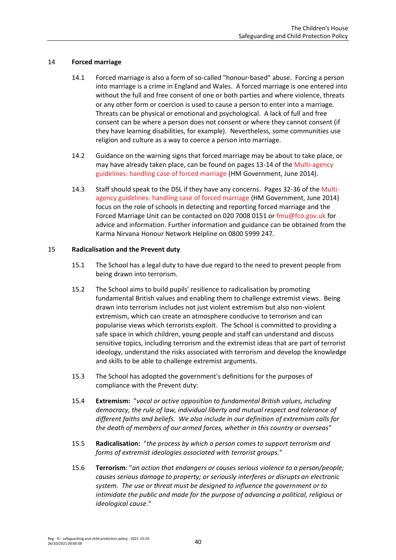### 14 **Forced marriage**

- 14.1 Forced marriage is also a form of so-called "honour-based" abuse. Forcing a person into marriage is a crime in England and Wales. A forced marriage is one entered into without the full and free consent of one or both parties and where violence, threats or any other form or coercion is used to cause a person to enter into a marriage. Threats can be physical or emotional and psychological. A lack of full and free consent can be where a person does not consent or where they cannot consent (if they have learning disabilities, for example). Nevertheless, some communities use religion and culture as a way to coerce a person into marriage.
- 14.2 Guidance on the warning signs that forced marriage may be about to take place, or may have already taken place, can be found on pages 13-14 of the [Multi-agency](https://www.gov.uk/government/uploads/system/uploads/attachment_data/file/322307/HMG_MULTI_AGENCY_PRACTICE_GUIDELINES_v1_180614_FINAL.pdf)  [guidelines: handling case of forced marriage](https://www.gov.uk/government/uploads/system/uploads/attachment_data/file/322307/HMG_MULTI_AGENCY_PRACTICE_GUIDELINES_v1_180614_FINAL.pdf) (HM Government, June 2014).
- 14.3 Staff should speak to the DSL if they have any concerns. Pages 32-36 of the [Multi](https://www.gov.uk/government/uploads/system/uploads/attachment_data/file/322307/HMG_MULTI_AGENCY_PRACTICE_GUIDELINES_v1_180614_FINAL.pdf)[agency guidelines: handling case of forced marriage \(](https://www.gov.uk/government/uploads/system/uploads/attachment_data/file/322307/HMG_MULTI_AGENCY_PRACTICE_GUIDELINES_v1_180614_FINAL.pdf)HM Government, June 2014) focus on the role of schools in detecting and reporting forced marriage and the Forced Marriage Unit can be contacted on 020 7008 0151 or [fmu@fco.gov.uk](file://///profiles-04/ctx_redirected$/NRPortbl/1901/AppData/Local/Microsoft/Windows/833/My%20Documents/NRPortbl/LIVE/833/fmu@fco.gov.uk) for advice and information. Further information and guidance can be obtained from the Karma Nirvana Honour Network Helpline on 0800 5999 247.

### 15 **Radicalisation and the Prevent duty**

- 15.1 The School has a legal duty to have due regard to the need to prevent people from being drawn into terrorism.
- 15.2 The School aims to build pupils' resilience to radicalisation by promoting fundamental British values and enabling them to challenge extremist views. Being drawn into terrorism includes not just violent extremism but also non-violent extremism, which can create an atmosphere conducive to terrorism and can popularise views which terrorists exploit. The School is committed to providing a safe space in which children, young people and staff can understand and discuss sensitive topics, including terrorism and the extremist ideas that are part of terrorist ideology, understand the risks associated with terrorism and develop the knowledge and skills to be able to challenge extremist arguments.
- 15.3 The School has adopted the government's definitions for the purposes of compliance with the Prevent duty:
- 15.4 **Extremism:** "*vocal or active opposition to fundamental British values, including democracy, the rule of law, individual liberty and mutual respect and tolerance of different faiths and beliefs. We also include in our definition of extremism calls for the death of members of our armed forces, whether in this country or overseas*"
- 15.5 **Radicalisation:** "*the process by which a person comes to support terrorism and forms of extremist ideologies associated with terrorist groups.*"
- 15.6 **Terrorism**: "*an action that endangers or causes serious violence to a person/people; causes serious damage to property; or seriously interferes or disrupts an electronic system. The use or threat must be designed to influence the government or to intimidate the public and made for the purpose of advancing a political, religious or ideological cause*."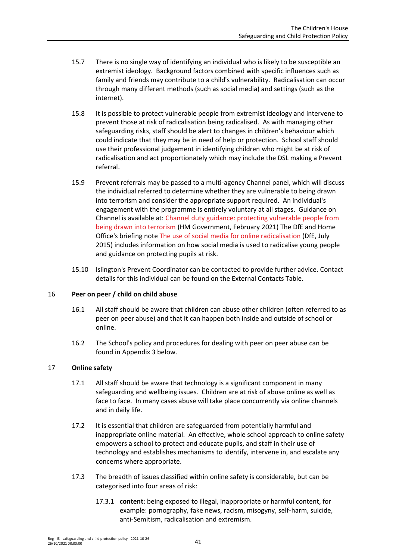- 15.7 There is no single way of identifying an individual who is likely to be susceptible an extremist ideology. Background factors combined with specific influences such as family and friends may contribute to a child's vulnerability. Radicalisation can occur through many different methods (such as social media) and settings (such as the internet).
- 15.8 It is possible to protect vulnerable people from extremist ideology and intervene to prevent those at risk of radicalisation being radicalised. As with managing other safeguarding risks, staff should be alert to changes in children's behaviour which could indicate that they may be in need of help or protection. School staff should use their professional judgement in identifying children who might be at risk of radicalisation and act proportionately which may include the DSL making a Prevent referral.
- 15.9 Prevent referrals may be passed to a multi-agency Channel panel, which will discuss the individual referred to determine whether they are vulnerable to being drawn into terrorism and consider the appropriate support required. An individual's engagement with the programme is entirely voluntary at all stages. Guidance on Channel is available at: [Channel duty guidance: protecting vulnerable people from](https://www.gov.uk/government/publications/channel-and-prevent-multi-agency-panel-pmap-guidance)  [being drawn into terrorism](https://www.gov.uk/government/publications/channel-and-prevent-multi-agency-panel-pmap-guidance) (HM Government, February 2021) The DfE and Home Office's briefing note [The use of social media for online radicalisation \(](https://www.gov.uk/government/uploads/system/uploads/attachment_data/file/440450/How_social_media_is_used_to_encourage_travel_to_Syria_and_Iraq.pdf)DfE, July 2015) includes information on how social media is used to radicalise young people and guidance on protecting pupils at risk.
- 15.10 Islington's Prevent Coordinator can be contacted to provide further advice. Contact details for this individual can be found on the External Contacts Table.

## 16 **Peer on peer / child on child abuse**

- 16.1 All staff should be aware that children can abuse other children (often referred to as peer on peer abuse) and that it can happen both inside and outside of school or online.
- 16.2 The School's policy and procedures for dealing with peer on peer abuse can be found in [Appendix 3](#page-47-0) below.

### 17 **Online safety**

- 17.1 All staff should be aware that technology is a significant component in many safeguarding and wellbeing issues. Children are at risk of abuse online as well as face to face. In many cases abuse will take place concurrently via online channels and in daily life.
- 17.2 It is essential that children are safeguarded from potentially harmful and inappropriate online material. An effective, whole school approach to online safety empowers a school to protect and educate pupils, and staff in their use of technology and establishes mechanisms to identify, intervene in, and escalate any concerns where appropriate.
- 17.3 The breadth of issues classified within online safety is considerable, but can be categorised into four areas of risk:
	- 17.3.1 **content**: being exposed to illegal, inappropriate or harmful content, for example: pornography, fake news, racism, misogyny, self-harm, suicide, anti-Semitism, radicalisation and extremism.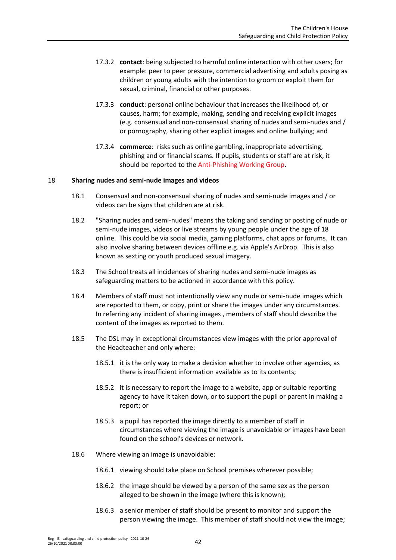- 17.3.2 **contact**: being subjected to harmful online interaction with other users; for example: peer to peer pressure, commercial advertising and adults posing as children or young adults with the intention to groom or exploit them for sexual, criminal, financial or other purposes.
- 17.3.3 **conduct**: personal online behaviour that increases the likelihood of, or causes, harm; for example, making, sending and receiving explicit images (e.g. consensual and non-consensual sharing of nudes and semi-nudes and / or pornography, sharing other explicit images and online bullying; and
- 17.3.4 **commerce**: risks such as online gambling, inappropriate advertising, phishing and or financial scams. If pupils, students or staff are at risk, it should be reported to th[e Anti-Phishing Working Group.](https://apwg.org/)

### 18 **Sharing nudes and semi-nude images and videos**

- 18.1 Consensual and non-consensual sharing of nudes and semi-nude images and / or videos can be signs that children are at risk.
- 18.2 "Sharing nudes and semi-nudes" means the taking and sending or posting of nude or semi-nude images, videos or live streams by young people under the age of 18 online. This could be via social media, gaming platforms, chat apps or forums. It can also involve sharing between devices offline e.g. via Apple's AirDrop. This is also known as sexting or youth produced sexual imagery.
- 18.3 The School treats all incidences of sharing nudes and semi-nude images as safeguarding matters to be actioned in accordance with this policy.
- 18.4 Members of staff must not intentionally view any nude or semi-nude images which are reported to them, or copy, print or share the images under any circumstances. In referring any incident of sharing images , members of staff should describe the content of the images as reported to them.
- 18.5 The DSL may in exceptional circumstances view images with the prior approval of the Headteacher and only where:
	- 18.5.1 it is the only way to make a decision whether to involve other agencies, as there is insufficient information available as to its contents;
	- 18.5.2 it is necessary to report the image to a website, app or suitable reporting agency to have it taken down, or to support the pupil or parent in making a report; or
	- 18.5.3 a pupil has reported the image directly to a member of staff in circumstances where viewing the image is unavoidable or images have been found on the school's devices or network.
- 18.6 Where viewing an image is unavoidable:
	- 18.6.1 viewing should take place on School premises wherever possible;
	- 18.6.2 the image should be viewed by a person of the same sex as the person alleged to be shown in the image (where this is known);
	- 18.6.3 a senior member of staff should be present to monitor and support the person viewing the image. This member of staff should not view the image;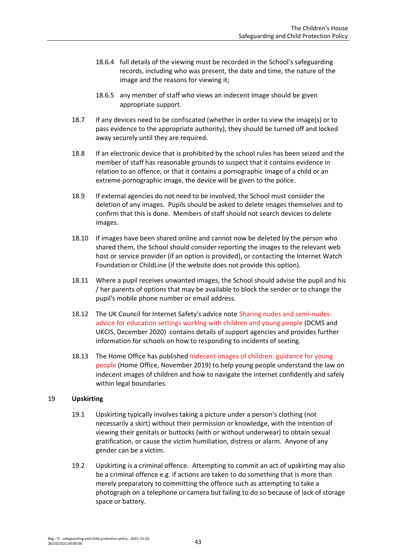- 18.6.4 full details of the viewing must be recorded in the School's safeguarding records, including who was present, the date and time, the nature of the image and the reasons for viewing it;
- 18.6.5 any member of staff who views an indecent image should be given appropriate support.
- 18.7 If any devices need to be confiscated (whether in order to view the image(s) or to pass evidence to the appropriate authority), they should be turned off and locked away securely until they are required.
- 18.8 If an electronic device that is prohibited by the school rules has been seized and the member of staff has reasonable grounds to suspect that it contains evidence in relation to an offence, or that it contains a pornographic image of a child or an extreme pornographic image, the device will be given to the police.
- 18.9 If external agencies do not need to be involved, the School must consider the deletion of any images. Pupils should be asked to delete images themselves and to confirm that this is done. Members of staff should not search devices to delete images.
- 18.10 If images have been shared online and cannot now be deleted by the person who shared them, the School should consider reporting the images to the relevant web host or service provider (if an option is provided), or contacting the Internet Watch Foundation or ChildLine (if the website does not provide this option).
- 18.11 Where a pupil receives unwanted images, the School should advise the pupil and his / her parents of options that may be available to block the sender or to change the pupil's mobile phone number or email address.
- 18.12 The UK Council for Internet Safety's advice not[e Sharing nudes and semi-nudes:](https://www.gov.uk/government/publications/sharing-nudes-and-semi-nudes-advice-for-education-settings-working-with-children-and-young-people/sharing-nudes-and-semi-nudes-advice-for-education-settings-working-with-children-and-young-people)  [advice for education settings working with children and young people](https://www.gov.uk/government/publications/sharing-nudes-and-semi-nudes-advice-for-education-settings-working-with-children-and-young-people/sharing-nudes-and-semi-nudes-advice-for-education-settings-working-with-children-and-young-people) (DCMS and UKCIS, December 2020) contains details of support agencies and provides further information for schools on how to responding to incidents of sexting.
- 18.13 The Home Office has publishe[d Indecent images of children: guidance for young](https://www.gov.uk/government/publications/indecent-images-of-children-guidance-for-young-people/indecent-images-of-children-guidance-for-young-people)  [people \(](https://www.gov.uk/government/publications/indecent-images-of-children-guidance-for-young-people/indecent-images-of-children-guidance-for-young-people)Home Office, November 2019) to help young people understand the law on indecent images of children and how to navigate the internet confidently and safely within legal boundaries.

## 19 **Upskirting**

- 19.1 Upskirting typically involves taking a picture under a person's clothing (not necessarily a skirt) without their permission or knowledge, with the intention of viewing their genitals or buttocks (with or without underwear) to obtain sexual gratification, or cause the victim humiliation, distress or alarm. Anyone of any gender can be a victim.
- 19.2 Upskirting is a criminal offence. Attempting to commit an act of upskirting may also be a criminal offence e.g. if actions are taken to do something that is more than merely preparatory to committing the offence such as attempting to take a photograph on a telephone or camera but failing to do so because of lack of storage space or battery.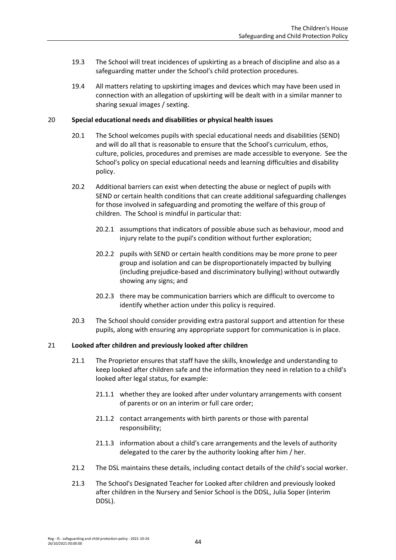- 19.3 The School will treat incidences of upskirting as a breach of discipline and also as a safeguarding matter under the School's child protection procedures.
- 19.4 All matters relating to upskirting images and devices which may have been used in connection with an allegation of upskirting will be dealt with in a similar manner to sharing sexual images / sexting.

### 20 **Special educational needs and disabilities or physical health issues**

- 20.1 The School welcomes pupils with special educational needs and disabilities (SEND) and will do all that is reasonable to ensure that the School's curriculum, ethos, culture, policies, procedures and premises are made accessible to everyone. See the School's policy on special educational needs and learning difficulties and disability policy.
- 20.2 Additional barriers can exist when detecting the abuse or neglect of pupils with SEND or certain health conditions that can create additional safeguarding challenges for those involved in safeguarding and promoting the welfare of this group of children. The School is mindful in particular that:
	- 20.2.1 assumptions that indicators of possible abuse such as behaviour, mood and injury relate to the pupil's condition without further exploration;
	- 20.2.2 pupils with SEND or certain health conditions may be more prone to peer group and isolation and can be disproportionately impacted by bullying (including prejudice-based and discriminatory bullying) without outwardly showing any signs; and
	- 20.2.3 there may be communication barriers which are difficult to overcome to identify whether action under this policy is required.
- 20.3 The School should consider providing extra pastoral support and attention for these pupils, along with ensuring any appropriate support for communication is in place.

### 21 **Looked after children and previously looked after children**

- 21.1 The Proprietor ensures that staff have the skills, knowledge and understanding to keep looked after children safe and the information they need in relation to a child's looked after legal status, for example:
	- 21.1.1 whether they are looked after under voluntary arrangements with consent of parents or on an interim or full care order;
	- 21.1.2 contact arrangements with birth parents or those with parental responsibility;
	- 21.1.3 information about a child's care arrangements and the levels of authority delegated to the carer by the authority looking after him / her.
- 21.2 The DSL maintains these details, including contact details of the child's social worker.
- 21.3 The School's Designated Teacher for Looked after children and previously looked after children in the Nursery and Senior School is the DDSL, Julia Soper (interim DDSL).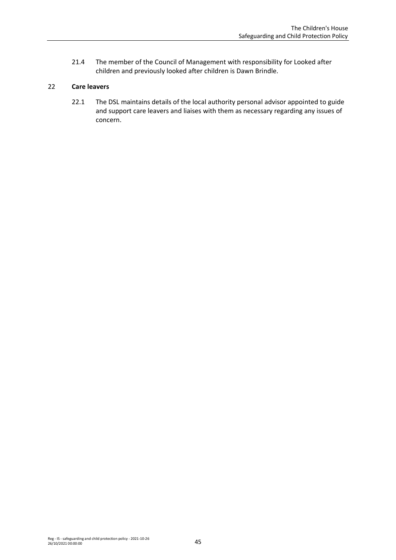21.4 The member of the Council of Management with responsibility for Looked after children and previously looked after children is Dawn Brindle.

## 22 **Care leavers**

22.1 The DSL maintains details of the local authority personal advisor appointed to guide and support care leavers and liaises with them as necessary regarding any issues of concern.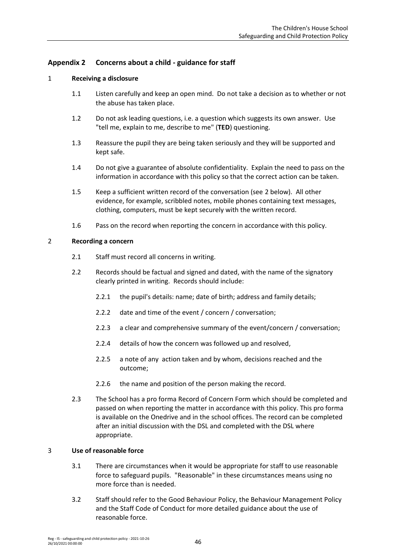# **Appendix 2 Concerns about a child - guidance for staff**

### 1 **Receiving a disclosure**

- 1.1 Listen carefully and keep an open mind. Do not take a decision as to whether or not the abuse has taken place.
- 1.2 Do not ask leading questions, i.e. a question which suggests its own answer. Use "tell me, explain to me, describe to me" (**TED**) questioning.
- 1.3 Reassure the pupil they are being taken seriously and they will be supported and kept safe.
- 1.4 Do not give a guarantee of absolute confidentiality. Explain the need to pass on the information in accordance with this policy so that the correct action can be taken.
- 1.5 Keep a sufficient written record of the conversation (see [2](#page-45-0) below). All other evidence, for example, scribbled notes, mobile phones containing text messages, clothing, computers, must be kept securely with the written record.
- 1.6 Pass on the record when reporting the concern in accordance with this policy.

#### <span id="page-45-0"></span>2 **Recording a concern**

- 2.1 Staff must record all concerns in writing.
- 2.2 Records should be factual and signed and dated, with the name of the signatory clearly printed in writing. Records should include:
	- 2.2.1 the pupil's details: name; date of birth; address and family details;
	- 2.2.2 date and time of the event / concern / conversation;
	- 2.2.3 a clear and comprehensive summary of the event/concern / conversation;
	- 2.2.4 details of how the concern was followed up and resolved,
	- 2.2.5 a note of any action taken and by whom, decisions reached and the outcome;
	- 2.2.6 the name and position of the person making the record.
- 2.3 The School has a pro forma Record of Concern Form which should be completed and passed on when reporting the matter in accordance with this policy. This pro forma is available on the Onedrive and in the school offices. The record can be completed after an initial discussion with the DSL and completed with the DSL where appropriate.

### 3 **Use of reasonable force**

- 3.1 There are circumstances when it would be appropriate for staff to use reasonable force to safeguard pupils. "Reasonable" in these circumstances means using no more force than is needed.
- 3.2 Staff should refer to the Good Behaviour Policy, the Behaviour Management Policy and the Staff Code of Conduct for more detailed guidance about the use of reasonable force.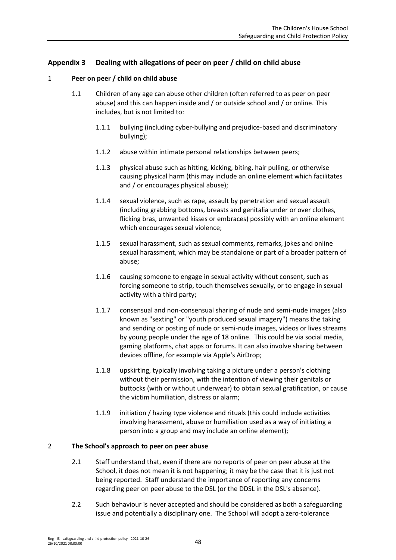# <span id="page-47-0"></span>**Appendix 3 Dealing with allegations of peer on peer / child on child abuse**

### 1 **Peer on peer / child on child abuse**

- 1.1 Children of any age can abuse other children (often referred to as peer on peer abuse) and this can happen inside and / or outside school and / or online. This includes, but is not limited to:
	- 1.1.1 bullying (including cyber-bullying and prejudice-based and discriminatory bullying);
	- 1.1.2 abuse within intimate personal relationships between peers;
	- 1.1.3 physical abuse such as hitting, kicking, biting, hair pulling, or otherwise causing physical harm (this may include an online element which facilitates and / or encourages physical abuse);
	- 1.1.4 sexual violence, such as rape, assault by penetration and sexual assault (including grabbing bottoms, breasts and genitalia under or over clothes, flicking bras, unwanted kisses or embraces) possibly with an online element which encourages sexual violence;
	- 1.1.5 sexual harassment, such as sexual comments, remarks, jokes and online sexual harassment, which may be standalone or part of a broader pattern of abuse;
	- 1.1.6 causing someone to engage in sexual activity without consent, such as forcing someone to strip, touch themselves sexually, or to engage in sexual activity with a third party;
	- 1.1.7 consensual and non-consensual sharing of nude and semi-nude images (also known as "sexting" or "youth produced sexual imagery") means the taking and sending or posting of nude or semi-nude images, videos or lives streams by young people under the age of 18 online. This could be via social media, gaming platforms, chat apps or forums. It can also involve sharing between devices offline, for example via Apple's AirDrop;
	- 1.1.8 upskirting, typically involving taking a picture under a person's clothing without their permission, with the intention of viewing their genitals or buttocks (with or without underwear) to obtain sexual gratification, or cause the victim humiliation, distress or alarm;
	- 1.1.9 initiation / hazing type violence and rituals (this could include activities involving harassment, abuse or humiliation used as a way of initiating a person into a group and may include an online element);

### 2 **The School's approach to peer on peer abuse**

- 2.1 Staff understand that, even if there are no reports of peer on peer abuse at the School, it does not mean it is not happening; it may be the case that it is just not being reported. Staff understand the importance of reporting any concerns regarding peer on peer abuse to the DSL (or the DDSL in the DSL's absence).
- 2.2 Such behaviour is never accepted and should be considered as both a safeguarding issue and potentially a disciplinary one. The School will adopt a zero-tolerance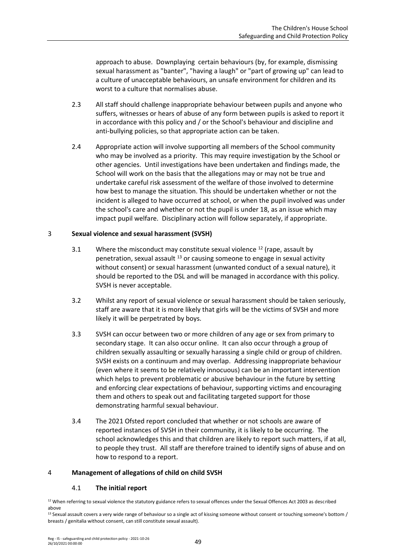approach to abuse. Downplaying certain behaviours (by, for example, dismissing sexual harassment as "banter", "having a laugh" or "part of growing up" can lead to a culture of unacceptable behaviours, an unsafe environment for children and its worst to a culture that normalises abuse.

- 2.3 All staff should challenge inappropriate behaviour between pupils and anyone who suffers, witnesses or hears of abuse of any form between pupils is asked to report it in accordance with this policy and / or the School's behaviour and discipline and anti-bullying policies, so that appropriate action can be taken.
- 2.4 Appropriate action will involve supporting all members of the School community who may be involved as a priority. This may require investigation by the School or other agencies. Until investigations have been undertaken and findings made, the School will work on the basis that the allegations may or may not be true and undertake careful risk assessment of the welfare of those involved to determine how best to manage the situation. This should be undertaken whether or not the incident is alleged to have occurred at school, or when the pupil involved was under the school's care and whether or not the pupil is under 18, as an issue which may impact pupil welfare. Disciplinary action will follow separately, if appropriate.

## 3 **Sexual violence and sexual harassment (SVSH)**

- 3.1 Where the misconduct may constitute sexual violence  $12$  (rape, assault by penetration, sexual assault <sup>13</sup> or causing someone to engage in sexual activity without consent) or sexual harassment (unwanted conduct of a sexual nature), it should be reported to the DSL and will be managed in accordance with this policy. SVSH is never acceptable.
- 3.2 Whilst any report of sexual violence or sexual harassment should be taken seriously, staff are aware that it is more likely that girls will be the victims of SVSH and more likely it will be perpetrated by boys.
- 3.3 SVSH can occur between two or more children of any age or sex from primary to secondary stage. It can also occur online. It can also occur through a group of children sexually assaulting or sexually harassing a single child or group of children. SVSH exists on a continuum and may overlap. Addressing inappropriate behaviour (even where it seems to be relatively innocuous) can be an important intervention which helps to prevent problematic or abusive behaviour in the future by setting and enforcing clear expectations of behaviour, supporting victims and encouraging them and others to speak out and facilitating targeted support for those demonstrating harmful sexual behaviour.
- 3.4 The 2021 Ofsted report concluded that whether or not schools are aware of reported instances of SVSH in their community, it is likely to be occurring. The school acknowledges this and that children are likely to report such matters, if at all, to people they trust. All staff are therefore trained to identify signs of abuse and on how to respond to a report.

### 4 **Management of allegations of child on child SVSH**

## 4.1 **The initial report**

<sup>&</sup>lt;sup>12</sup> When referring to sexual violence the statutory guidance refers to sexual offences under the Sexual Offences Act 2003 as described above

<sup>&</sup>lt;sup>13</sup> Sexual assault covers a very wide range of behaviour so a single act of kissing someone without consent or touching someone's bottom / breasts / genitalia without consent, can still constitute sexual assault).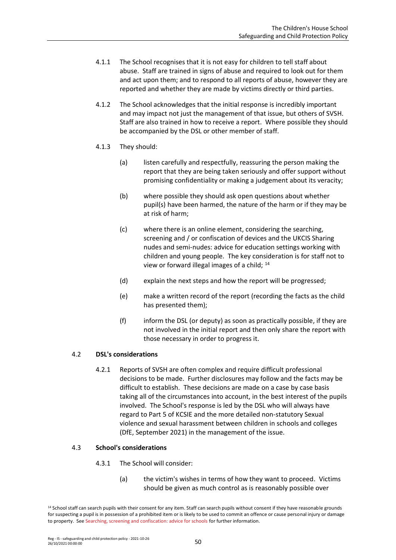- 4.1.1 The School recognises that it is not easy for children to tell staff about abuse. Staff are trained in signs of abuse and required to look out for them and act upon them; and to respond to all reports of abuse, however they are reported and whether they are made by victims directly or third parties.
- 4.1.2 The School acknowledges that the initial response is incredibly important and may impact not just the management of that issue, but others of SVSH. Staff are also trained in how to receive a report. Where possible they should be accompanied by the DSL or other member of staff.
- 4.1.3 They should:
	- (a) listen carefully and respectfully, reassuring the person making the report that they are being taken seriously and offer support without promising confidentiality or making a judgement about its veracity;
	- (b) where possible they should ask open questions about whether pupil(s) have been harmed, the nature of the harm or if they may be at risk of harm;
	- (c) where there is an online element, considering the searching, screening and / or confiscation of devices and the UKCIS Sharing nudes and semi-nudes: advice for education settings working with children and young people. The key consideration is for staff not to view or forward illegal images of a child; <sup>14</sup>
	- (d) explain the next steps and how the report will be progressed;
	- (e) make a written record of the report (recording the facts as the child has presented them);
	- (f) inform the DSL (or deputy) as soon as practically possible, if they are not involved in the initial report and then only share the report with those necessary in order to progress it.

# 4.2 **DSL's considerations**

4.2.1 Reports of SVSH are often complex and require difficult professional decisions to be made. Further disclosures may follow and the facts may be difficult to establish. These decisions are made on a case by case basis taking all of the circumstances into account, in the best interest of the pupils involved. The School's response is led by the DSL who will always have regard to Part 5 of KCSIE and the more detailed non-statutory Sexual violence and sexual harassment between children in schools and colleges (DfE, September 2021) in the management of the issue.

## 4.3 **School's considerations**

- 4.3.1 The School will consider:
	- (a) the victim's wishes in terms of how they want to proceed. Victims should be given as much control as is reasonably possible over

<sup>&</sup>lt;sup>14</sup> School staff can search pupils with their consent for any item. Staff can search pupils without consent if they have reasonable grounds for suspecting a pupil is in possession of a prohibited item or is likely to be used to commit an offence or cause personal injury or damage to property. Se[e Searching, screening and confiscation: advice for schools](https://assets.publishing.service.gov.uk/government/uploads/system/uploads/attachment_data/file/674416/Searching_screening_and_confiscation.pdf) for further information.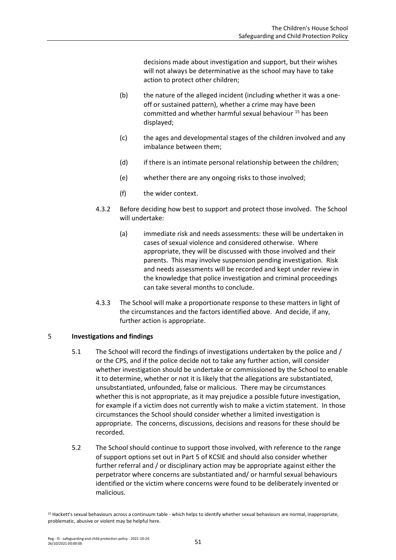decisions made about investigation and support, but their wishes will not always be determinative as the school may have to take action to protect other children;

- (b) the nature of the alleged incident (including whether it was a oneoff or sustained pattern), whether a crime may have been committed and whether harmful sexual behaviour <sup>15</sup> has been displayed;
- (c) the ages and developmental stages of the children involved and any imbalance between them;
- (d) if there is an intimate personal relationship between the children;
- (e) whether there are any ongoing risks to those involved;
- (f) the wider context.
- 4.3.2 Before deciding how best to support and protect those involved. The School will undertake:
	- (a) immediate risk and needs assessments: these will be undertaken in cases of sexual violence and considered otherwise. Where appropriate, they will be discussed with those involved and their parents. This may involve suspension pending investigation. Risk and needs assessments will be recorded and kept under review in the knowledge that police investigation and criminal proceedings can take several months to conclude.
- 4.3.3 The School will make a proportionate response to these matters in light of the circumstances and the factors identified above. And decide, if any, further action is appropriate.

## 5 **Investigations and findings**

- 5.1 The School will record the findings of investigations undertaken by the police and / or the CPS, and if the police decide not to take any further action, will consider whether investigation should be undertake or commissioned by the School to enable it to determine, whether or not it is likely that the allegations are substantiated, unsubstantiated, unfounded, false or malicious. There may be circumstances whether this is not appropriate, as it may prejudice a possible future investigation, for example if a victim does not currently wish to make a victim statement. In those circumstances the School should consider whether a limited investigation is appropriate. The concerns, discussions, decisions and reasons for these should be recorded.
- 5.2 The School should continue to support those involved, with reference to the range of support options set out in Part 5 of KCSIE and should also consider whether further referral and / or disciplinary action may be appropriate against either the perpetrator where concerns are substantiated and/ or harmful sexual behaviours identified or the victim where concerns were found to be deliberately invented or malicious.

<sup>15</sup> Hackett's sexual behaviours across a continuum table - which helps to identify whether sexual behaviours are normal, inappropriate, problematic, abusive or violent may be helpful here.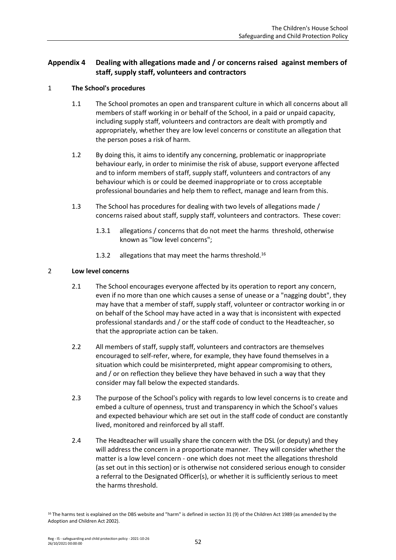# **Appendix 4 Dealing with allegations made and / or concerns raised against members of staff, supply staff, volunteers and contractors**

## 1 **The School's procedures**

- 1.1 The School promotes an open and transparent culture in which all concerns about all members of staff working in or behalf of the School, in a paid or unpaid capacity, including supply staff, volunteers and contractors are dealt with promptly and appropriately, whether they are low level concerns or constitute an allegation that the person poses a risk of harm.
- 1.2 By doing this, it aims to identify any concerning, problematic or inappropriate behaviour early, in order to minimise the risk of abuse, support everyone affected and to inform members of staff, supply staff, volunteers and contractors of any behaviour which is or could be deemed inappropriate or to cross acceptable professional boundaries and help them to reflect, manage and learn from this.
- 1.3 The School has procedures for dealing with two levels of allegations made / concerns raised about staff, supply staff, volunteers and contractors. These cover:
	- 1.3.1 allegations / concerns that do not meet the harms threshold, otherwise known as "low level concerns";
	- 1.3.2 allegations that may meet the harms threshold.<sup>16</sup>

### 2 **Low level concerns**

- 2.1 The School encourages everyone affected by its operation to report any concern, even if no more than one which causes a sense of unease or a "nagging doubt", they may have that a member of staff, supply staff, volunteer or contractor working in or on behalf of the School may have acted in a way that is inconsistent with expected professional standards and / or the staff code of conduct to the Headteacher, so that the appropriate action can be taken.
- 2.2 All members of staff, supply staff, volunteers and contractors are themselves encouraged to self-refer, where, for example, they have found themselves in a situation which could be misinterpreted, might appear compromising to others, and / or on reflection they believe they have behaved in such a way that they consider may fall below the expected standards.
- 2.3 The purpose of the School's policy with regards to low level concerns is to create and embed a culture of openness, trust and transparency in which the School's values and expected behaviour which are set out in the staff code of conduct are constantly lived, monitored and reinforced by all staff.
- 2.4 The Headteacher will usually share the concern with the DSL (or deputy) and they will address the concern in a proportionate manner. They will consider whether the matter is a low level concern - one which does not meet the allegations threshold (as set out in this section) or is otherwise not considered serious enough to consider a referral to the Designated Officer(s), or whether it is sufficiently serious to meet the harms threshold.

<sup>&</sup>lt;sup>16</sup> The harms test is explained on the DBS website and "harm" is defined in section 31 (9) of the Children Act 1989 (as amended by the Adoption and Children Act 2002).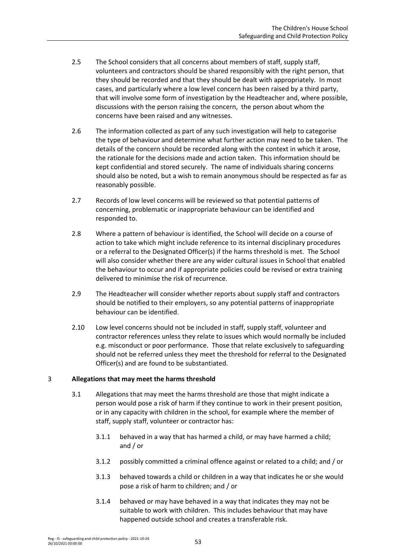- 2.5 The School considers that all concerns about members of staff, supply staff, volunteers and contractors should be shared responsibly with the right person, that they should be recorded and that they should be dealt with appropriately. In most cases, and particularly where a low level concern has been raised by a third party, that will involve some form of investigation by the Headteacher and, where possible, discussions with the person raising the concern, the person about whom the concerns have been raised and any witnesses.
- 2.6 The information collected as part of any such investigation will help to categorise the type of behaviour and determine what further action may need to be taken. The details of the concern should be recorded along with the context in which it arose, the rationale for the decisions made and action taken. This information should be kept confidential and stored securely. The name of individuals sharing concerns should also be noted, but a wish to remain anonymous should be respected as far as reasonably possible.
- 2.7 Records of low level concerns will be reviewed so that potential patterns of concerning, problematic or inappropriate behaviour can be identified and responded to.
- 2.8 Where a pattern of behaviour is identified, the School will decide on a course of action to take which might include reference to its internal disciplinary procedures or a referral to the Designated Officer(s) if the harms threshold is met. The School will also consider whether there are any wider cultural issues in School that enabled the behaviour to occur and if appropriate policies could be revised or extra training delivered to minimise the risk of recurrence.
- 2.9 The Headteacher will consider whether reports about supply staff and contractors should be notified to their employers, so any potential patterns of inappropriate behaviour can be identified.
- 2.10 Low level concerns should not be included in staff, supply staff, volunteer and contractor references unless they relate to issues which would normally be included e.g. misconduct or poor performance. Those that relate exclusively to safeguarding should not be referred unless they meet the threshold for referral to the Designated Officer(s) and are found to be substantiated.

## 3 **Allegations that may meet the harms threshold**

- 3.1 Allegations that may meet the harms threshold are those that might indicate a person would pose a risk of harm if they continue to work in their present position, or in any capacity with children in the school, for example where the member of staff, supply staff, volunteer or contractor has:
	- 3.1.1 behaved in a way that has harmed a child, or may have harmed a child; and / or
	- 3.1.2 possibly committed a criminal offence against or related to a child; and / or
	- 3.1.3 behaved towards a child or children in a way that indicates he or she would pose a risk of harm to children; and / or
	- 3.1.4 behaved or may have behaved in a way that indicates they may not be suitable to work with children. This includes behaviour that may have happened outside school and creates a transferable risk.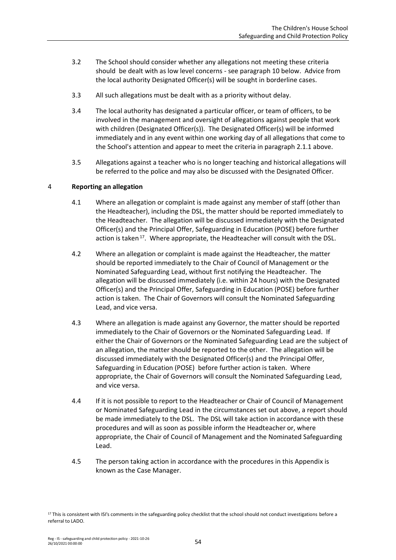- 3.2 The School should consider whether any allegations not meeting these criteria should be dealt with as low level concerns - see paragraph 10 below. Advice from the local authority Designated Officer(s) will be sought in borderline cases.
- 3.3 All such allegations must be dealt with as a priority without delay.
- 3.4 The local authority has designated a particular officer, or team of officers, to be involved in the management and oversight of allegations against people that work with children (Designated Officer(s)). The Designated Officer(s) will be informed immediately and in any event within one working day of all allegations that come to the School's attention and appear to meet the criteria in paragraph 2.1.1 above.
- 3.5 Allegations against a teacher who is no longer teaching and historical allegations will be referred to the police and may also be discussed with the Designated Officer.

### 4 **Reporting an allegation**

- 4.1 Where an allegation or complaint is made against any member of staff (other than the Headteacher), including the DSL, the matter should be reported immediately to the Headteacher. The allegation will be discussed immediately with the Designated Officer(s) and the Principal Offer, Safeguarding in Education (POSE) before further action is taken <sup>17</sup>. Where appropriate, the Headteacher will consult with the DSL.
- 4.2 Where an allegation or complaint is made against the Headteacher, the matter should be reported immediately to the Chair of Council of Management or the Nominated Safeguarding Lead, without first notifying the Headteacher. The allegation will be discussed immediately (i.e. within 24 hours) with the Designated Officer(s) and the Principal Offer, Safeguarding in Education (POSE) before further action is taken. The Chair of Governors will consult the Nominated Safeguarding Lead, and vice versa.
- 4.3 Where an allegation is made against any Governor, the matter should be reported immediately to the Chair of Governors or the Nominated Safeguarding Lead. If either the Chair of Governors or the Nominated Safeguarding Lead are the subject of an allegation, the matter should be reported to the other. The allegation will be discussed immediately with the Designated Officer(s) and the Principal Offer, Safeguarding in Education (POSE) before further action is taken. Where appropriate, the Chair of Governors will consult the Nominated Safeguarding Lead, and vice versa.
- 4.4 If it is not possible to report to the Headteacher or Chair of Council of Management or Nominated Safeguarding Lead in the circumstances set out above, a report should be made immediately to the DSL. The DSL will take action in accordance with these procedures and will as soon as possible inform the Headteacher or, where appropriate, the Chair of Council of Management and the Nominated Safeguarding Lead.
- 4.5 The person taking action in accordance with the procedures in this Appendix is known as the Case Manager.

 $17$  This is consistent with ISI's comments in the safeguarding policy checklist that the school should not conduct investigations before a referral to LADO.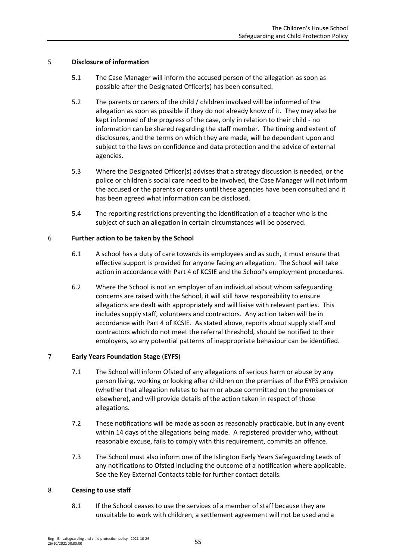## 5 **Disclosure of information**

- 5.1 The Case Manager will inform the accused person of the allegation as soon as possible after the Designated Officer(s) has been consulted.
- 5.2 The parents or carers of the child / children involved will be informed of the allegation as soon as possible if they do not already know of it. They may also be kept informed of the progress of the case, only in relation to their child - no information can be shared regarding the staff member. The timing and extent of disclosures, and the terms on which they are made, will be dependent upon and subject to the laws on confidence and data protection and the advice of external agencies.
- 5.3 Where the Designated Officer(s) advises that a strategy discussion is needed, or the police or children's social care need to be involved, the Case Manager will not inform the accused or the parents or carers until these agencies have been consulted and it has been agreed what information can be disclosed.
- 5.4 The reporting restrictions preventing the identification of a teacher who is the subject of such an allegation in certain circumstances will be observed.

### 6 **Further action to be taken by the School**

- 6.1 A school has a duty of care towards its employees and as such, it must ensure that effective support is provided for anyone facing an allegation. The School will take action in accordance with Part 4 of KCSIE and the School's employment procedures.
- 6.2 Where the School is not an employer of an individual about whom safeguarding concerns are raised with the School, it will still have responsibility to ensure allegations are dealt with appropriately and will liaise with relevant parties. This includes supply staff, volunteers and contractors. Any action taken will be in accordance with Part 4 of KCSIE. As stated above, reports about supply staff and contractors which do not meet the referral threshold, should be notified to their employers, so any potential patterns of inappropriate behaviour can be identified.

## 7 **Early Years Foundation Stage** (**EYFS**)

- 7.1 The School will inform Ofsted of any allegations of serious harm or abuse by any person living, working or looking after children on the premises of the EYFS provision (whether that allegation relates to harm or abuse committed on the premises or elsewhere), and will provide details of the action taken in respect of those allegations.
- 7.2 These notifications will be made as soon as reasonably practicable, but in any event within 14 days of the allegations being made. A registered provider who, without reasonable excuse, fails to comply with this requirement, commits an offence.
- 7.3 The School must also inform one of the Islington Early Years Safeguarding Leads of any notifications to Ofsted including the outcome of a notification where applicable. See the Key External Contacts table for further contact details.

## 8 **Ceasing to use staff**

8.1 If the School ceases to use the services of a member of staff because they are unsuitable to work with children, a settlement agreement will not be used and a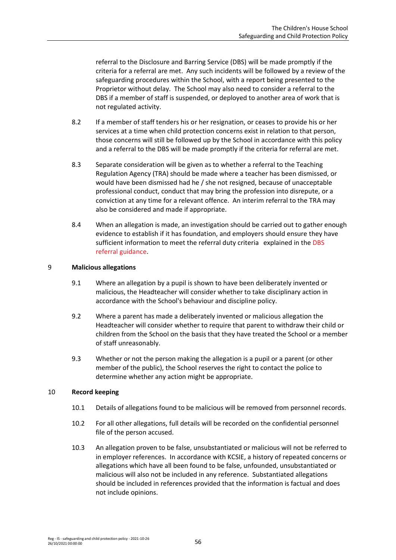referral to the Disclosure and Barring Service (DBS) will be made promptly if the criteria for a referral are met. Any such incidents will be followed by a review of the safeguarding procedures within the School, with a report being presented to the Proprietor without delay. The School may also need to consider a referral to the DBS if a member of staff is suspended, or deployed to another area of work that is not regulated activity.

- 8.2 If a member of staff tenders his or her resignation, or ceases to provide his or her services at a time when child protection concerns exist in relation to that person, those concerns will still be followed up by the School in accordance with this policy and a referral to the DBS will be made promptly if the criteria for referral are met.
- 8.3 Separate consideration will be given as to whether a referral to the Teaching Regulation Agency (TRA) should be made where a teacher has been dismissed, or would have been dismissed had he / she not resigned, because of unacceptable professional conduct, conduct that may bring the profession into disrepute, or a conviction at any time for a relevant offence. An interim referral to the TRA may also be considered and made if appropriate.
- 8.4 When an allegation is made, an investigation should be carried out to gather enough evidence to establish if it has foundation, and employers should ensure they have sufficient information to meet the referral duty criteria explained in the DBS [referral guidance.](https://www.gov.uk/guidance/making-barring-referrals-to-the-dbs)

## 9 **Malicious allegations**

- 9.1 Where an allegation by a pupil is shown to have been deliberately invented or malicious, the Headteacher will consider whether to take disciplinary action in accordance with the School's behaviour and discipline policy.
- 9.2 Where a parent has made a deliberately invented or malicious allegation the Headteacher will consider whether to require that parent to withdraw their child or children from the School on the basis that they have treated the School or a member of staff unreasonably.
- 9.3 Whether or not the person making the allegation is a pupil or a parent (or other member of the public), the School reserves the right to contact the police to determine whether any action might be appropriate.

### 10 **Record keeping**

- 10.1 Details of allegations found to be malicious will be removed from personnel records.
- 10.2 For all other allegations, full details will be recorded on the confidential personnel file of the person accused.
- 10.3 An allegation proven to be false, unsubstantiated or malicious will not be referred to in employer references. In accordance with KCSIE, a history of repeated concerns or allegations which have all been found to be false, unfounded, unsubstantiated or malicious will also not be included in any reference. Substantiated allegations should be included in references provided that the information is factual and does not include opinions.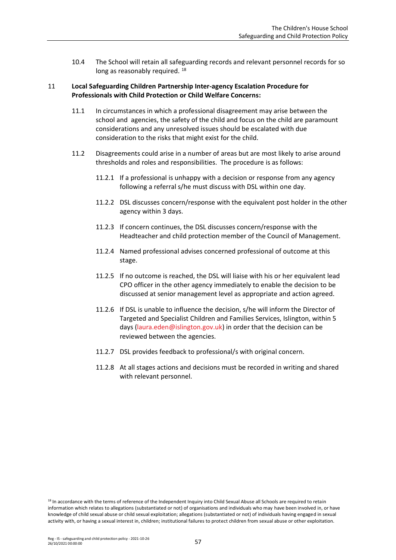10.4 The School will retain all safeguarding records and relevant personnel records for so long as reasonably required. <sup>18</sup>

## 11 **Local Safeguarding Children Partnership Inter-agency Escalation Procedure for Professionals with Child Protection or Child Welfare Concerns:**

- 11.1 In circumstances in which a professional disagreement may arise between the school and agencies, the safety of the child and focus on the child are paramount considerations and any unresolved issues should be escalated with due consideration to the risks that might exist for the child.
- 11.2 Disagreements could arise in a number of areas but are most likely to arise around thresholds and roles and responsibilities. The procedure is as follows:
	- 11.2.1 If a professional is unhappy with a decision or response from any agency following a referral s/he must discuss with DSL within one day.
	- 11.2.2 DSL discusses concern/response with the equivalent post holder in the other agency within 3 days.
	- 11.2.3 If concern continues, the DSL discusses concern/response with the Headteacher and child protection member of the Council of Management.
	- 11.2.4 Named professional advises concerned professional of outcome at this stage.
	- 11.2.5 If no outcome is reached, the DSL will liaise with his or her equivalent lead CPO officer in the other agency immediately to enable the decision to be discussed at senior management level as appropriate and action agreed.
	- 11.2.6 If DSL is unable to influence the decision, s/he will inform the Director of Targeted and Specialist Children and Families Services, Islington, within 5 days [\(laura.eden@islington.gov.uk\)](mailto:laura.eden@islington.gov.uk) in order that the decision can be reviewed between the agencies.
	- 11.2.7 DSL provides feedback to professional/s with original concern.
	- 11.2.8 At all stages actions and decisions must be recorded in writing and shared with relevant personnel.

<sup>18</sup> In accordance with the terms of reference of the Independent Inquiry into Child Sexual Abuse all Schools are required to retain information which relates to allegations (substantiated or not) of organisations and individuals who may have been involved in, or have knowledge of child sexual abuse or child sexual exploitation; allegations (substantiated or not) of individuals having engaged in sexual activity with, or having a sexual interest in, children; institutional failures to protect children from sexual abuse or other exploitation.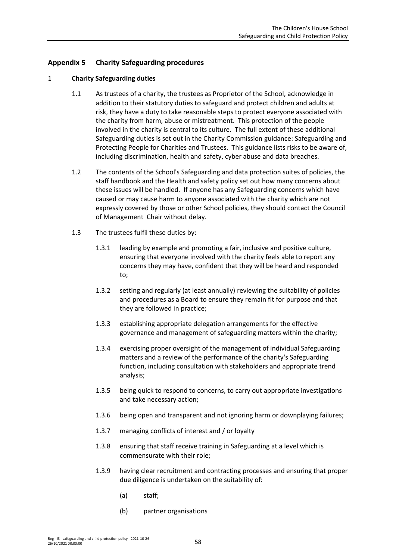# **Appendix 5 Charity Safeguarding procedures**

### 1 **Charity Safeguarding duties**

- 1.1 As trustees of a charity, the trustees as Proprietor of the School, acknowledge in addition to their statutory duties to safeguard and protect children and adults at risk, they have a duty to take reasonable steps to protect everyone associated with the charity from harm, abuse or mistreatment. This protection of the people involved in the charity is central to its culture. The full extent of these additional Safeguarding duties is set out in the Charity Commission guidance: Safeguarding and Protecting People for Charities and Trustees. This guidance lists risks to be aware of, including discrimination, health and safety, cyber abuse and data breaches.
- 1.2 The contents of the School's Safeguarding and data protection suites of policies, the staff handbook and the Health and safety policy set out how many concerns about these issues will be handled. If anyone has any Safeguarding concerns which have caused or may cause harm to anyone associated with the charity which are not expressly covered by those or other School policies, they should contact the Council of Management Chair without delay.
- 1.3 The trustees fulfil these duties by:
	- 1.3.1 leading by example and promoting a fair, inclusive and positive culture, ensuring that everyone involved with the charity feels able to report any concerns they may have, confident that they will be heard and responded to;
	- 1.3.2 setting and regularly (at least annually) reviewing the suitability of policies and procedures as a Board to ensure they remain fit for purpose and that they are followed in practice;
	- 1.3.3 establishing appropriate delegation arrangements for the effective governance and management of safeguarding matters within the charity;
	- 1.3.4 exercising proper oversight of the management of individual Safeguarding matters and a review of the performance of the charity's Safeguarding function, including consultation with stakeholders and appropriate trend analysis;
	- 1.3.5 being quick to respond to concerns, to carry out appropriate investigations and take necessary action;
	- 1.3.6 being open and transparent and not ignoring harm or downplaying failures;
	- 1.3.7 managing conflicts of interest and / or loyalty
	- 1.3.8 ensuring that staff receive training in Safeguarding at a level which is commensurate with their role;
	- 1.3.9 having clear recruitment and contracting processes and ensuring that proper due diligence is undertaken on the suitability of:
		- (a) staff;
		- (b) partner organisations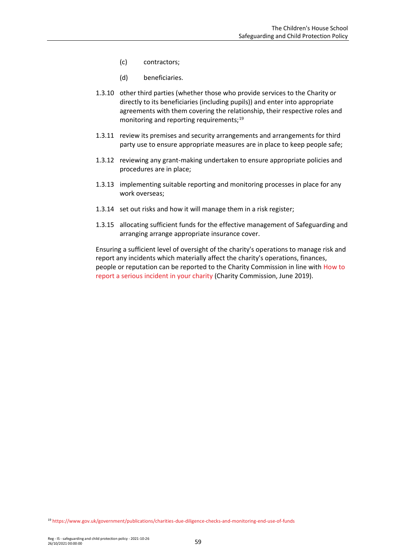- (c) contractors;
- (d) beneficiaries.
- 1.3.10 other third parties (whether those who provide services to the Charity or directly to its beneficiaries (including pupils)) and enter into appropriate agreements with them covering the relationship, their respective roles and monitoring and reporting requirements;<sup>19</sup>
- 1.3.11 review its premises and security arrangements and arrangements for third party use to ensure appropriate measures are in place to keep people safe;
- 1.3.12 reviewing any grant-making undertaken to ensure appropriate policies and procedures are in place;
- 1.3.13 implementing suitable reporting and monitoring processes in place for any work overseas;
- 1.3.14 set out risks and how it will manage them in a risk register;
- 1.3.15 allocating sufficient funds for the effective management of Safeguarding and arranging arrange appropriate insurance cover.

Ensuring a sufficient level of oversight of the charity's operations to manage risk and report any incidents which materially affect the charity's operations, finances, people or reputation can be reported to the Charity Commission in line with [How to](https://www.gov.uk/guidance/how-to-report-a-serious-incident-in-your-charity)  report a serious [incident in your charity](https://www.gov.uk/guidance/how-to-report-a-serious-incident-in-your-charity) (Charity Commission, June 2019).

<sup>19</sup> <https://www.gov.uk/government/publications/charities-due-diligence-checks-and-monitoring-end-use-of-funds>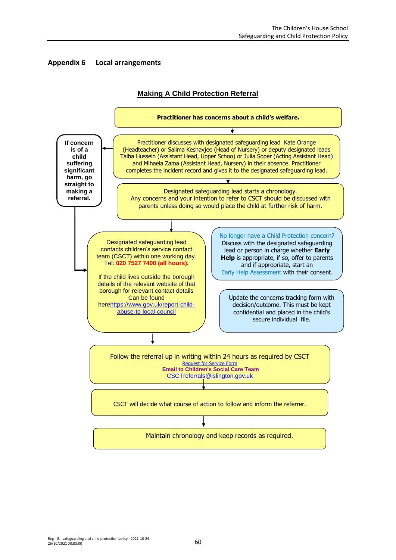



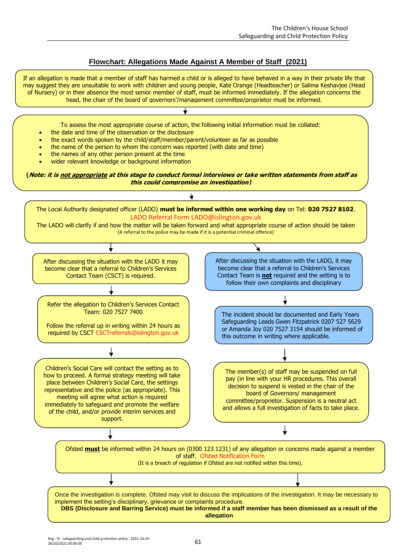## **Flowchart: Allegations Made Against A Member of Staff (2021)**

If an allegation is made that a member of staff has harmed a child or is alleged to have behaved in a way in their private life that may suggest they are unsuitable to work with children and young people, Kate Orange (Headteacher) or Salima Keshavjee (Head of Nursery) or in their absence the most senior member of staff, must be informed immediately. If the allegation concerns the head, the chair of the board of governors'/management committee/proprietor must be informed.

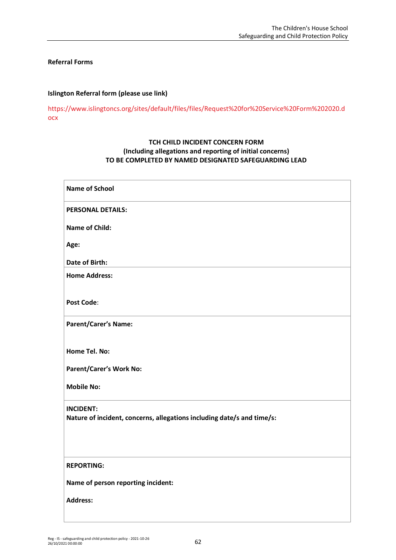### **Referral Forms**

### **Islington Referral form (please use link)**

[https://www.islingtoncs.org/sites/default/files/files/Request%20for%20Service%20Form%202020.d](https://www.islingtoncs.org/sites/default/files/files/Request%20for%20Service%20Form%202020.docx) [ocx](https://www.islingtoncs.org/sites/default/files/files/Request%20for%20Service%20Form%202020.docx)

## **TCH CHILD INCIDENT CONCERN FORM (Including allegations and reporting of initial concerns) TO BE COMPLETED BY NAMED DESIGNATED SAFEGUARDING LEAD**

| <b>Name of School</b>                                                  |
|------------------------------------------------------------------------|
| <b>PERSONAL DETAILS:</b>                                               |
| <b>Name of Child:</b>                                                  |
| Age:                                                                   |
| Date of Birth:                                                         |
| <b>Home Address:</b>                                                   |
| <b>Post Code:</b>                                                      |
| <b>Parent/Carer's Name:</b>                                            |
| Home Tel. No:                                                          |
| Parent/Carer's Work No:                                                |
| <b>Mobile No:</b>                                                      |
| <b>INCIDENT:</b>                                                       |
| Nature of incident, concerns, allegations including date/s and time/s: |
|                                                                        |
| <b>REPORTING:</b>                                                      |
| Name of person reporting incident:                                     |
| <b>Address:</b>                                                        |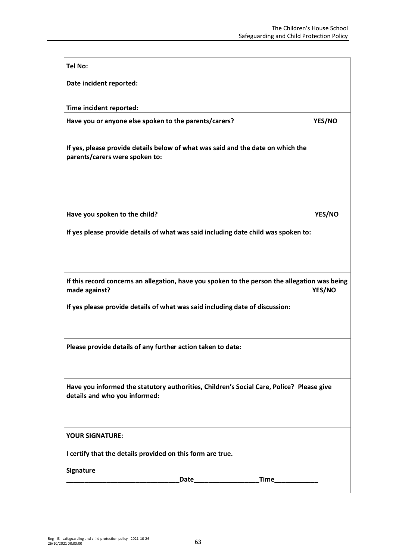| <b>Tel No:</b>                                                                                                               |        |
|------------------------------------------------------------------------------------------------------------------------------|--------|
| Date incident reported:                                                                                                      |        |
| Time incident reported:                                                                                                      |        |
| Have you or anyone else spoken to the parents/carers?                                                                        | YES/NO |
|                                                                                                                              |        |
| If yes, please provide details below of what was said and the date on which the<br>parents/carers were spoken to:            |        |
|                                                                                                                              |        |
|                                                                                                                              |        |
| Have you spoken to the child?                                                                                                | YES/NO |
| If yes please provide details of what was said including date child was spoken to:                                           |        |
|                                                                                                                              |        |
|                                                                                                                              |        |
| If this record concerns an allegation, have you spoken to the person the allegation was being<br>made against?               | YES/NO |
| If yes please provide details of what was said including date of discussion:                                                 |        |
|                                                                                                                              |        |
| Please provide details of any further action taken to date:                                                                  |        |
|                                                                                                                              |        |
| Have you informed the statutory authorities, Children's Social Care, Police? Please give                                     |        |
| details and who you informed:                                                                                                |        |
|                                                                                                                              |        |
| <b>YOUR SIGNATURE:</b>                                                                                                       |        |
| I certify that the details provided on this form are true.                                                                   |        |
| Signature                                                                                                                    |        |
| Date and the state of the state of the state of the state of the state of the state of the state of the state<br><b>Time</b> |        |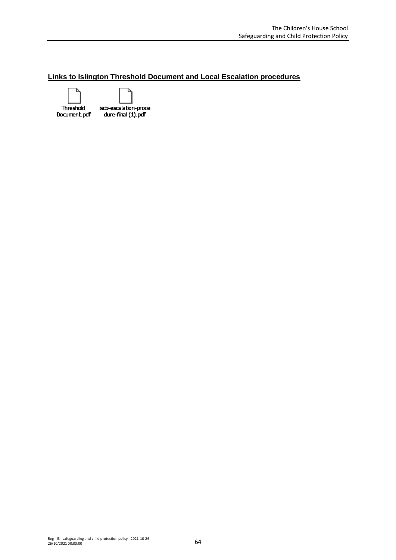## **Links to Islington Threshold Document and Local Escalation procedures**



iscb-escalation-proce dure-final (1).pdf

ъ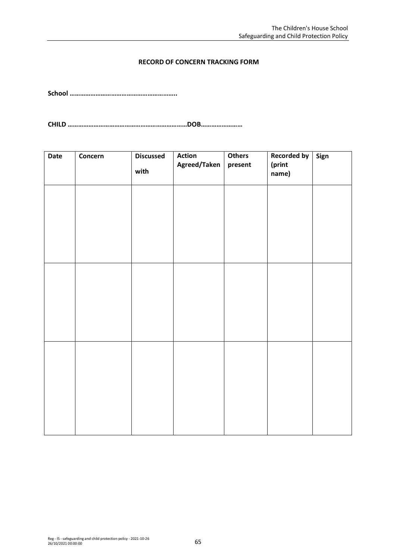## **RECORD OF CONCERN TRACKING FORM**

**School ……………………………………………………..**

**CHILD ……………………………………………………………DOB……………………**

| Date | Concern | <b>Discussed</b> | <b>Action</b> | Others  | <b>Recorded by</b> | Sign |
|------|---------|------------------|---------------|---------|--------------------|------|
|      |         | with             | Agreed/Taken  | present | (print<br>name)    |      |
|      |         |                  |               |         |                    |      |
|      |         |                  |               |         |                    |      |
|      |         |                  |               |         |                    |      |
|      |         |                  |               |         |                    |      |
|      |         |                  |               |         |                    |      |
|      |         |                  |               |         |                    |      |
|      |         |                  |               |         |                    |      |
|      |         |                  |               |         |                    |      |
|      |         |                  |               |         |                    |      |
|      |         |                  |               |         |                    |      |
|      |         |                  |               |         |                    |      |
|      |         |                  |               |         |                    |      |
|      |         |                  |               |         |                    |      |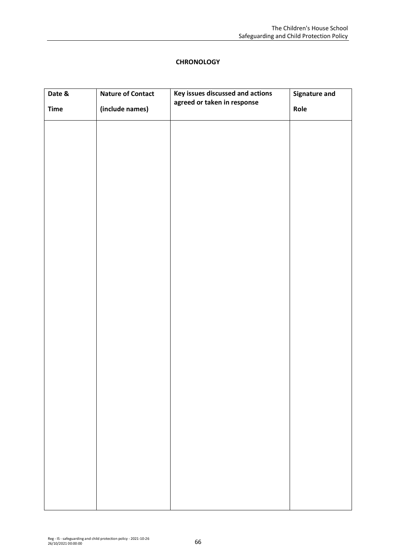## **CHRONOLOGY**

| Date &      | <b>Nature of Contact</b> | Key issues discussed and actions | <b>Signature and</b> |
|-------------|--------------------------|----------------------------------|----------------------|
| <b>Time</b> | (include names)          | agreed or taken in response      | Role                 |
|             |                          |                                  |                      |
|             |                          |                                  |                      |
|             |                          |                                  |                      |
|             |                          |                                  |                      |
|             |                          |                                  |                      |
|             |                          |                                  |                      |
|             |                          |                                  |                      |
|             |                          |                                  |                      |
|             |                          |                                  |                      |
|             |                          |                                  |                      |
|             |                          |                                  |                      |
|             |                          |                                  |                      |
|             |                          |                                  |                      |
|             |                          |                                  |                      |
|             |                          |                                  |                      |
|             |                          |                                  |                      |
|             |                          |                                  |                      |
|             |                          |                                  |                      |
|             |                          |                                  |                      |
|             |                          |                                  |                      |
|             |                          |                                  |                      |
|             |                          |                                  |                      |
|             |                          |                                  |                      |
|             |                          |                                  |                      |
|             |                          |                                  |                      |
|             |                          |                                  |                      |
|             |                          |                                  |                      |
|             |                          |                                  |                      |
|             |                          |                                  |                      |
|             |                          |                                  |                      |
|             |                          |                                  |                      |

 $\overline{\phantom{a}}$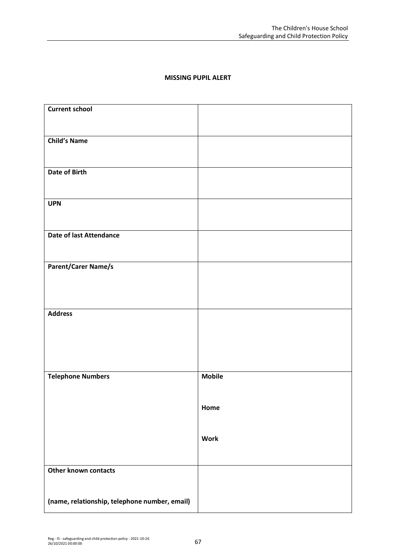# **MISSING PUPIL ALERT**

| <b>Current school</b>                         |               |
|-----------------------------------------------|---------------|
|                                               |               |
| <b>Child's Name</b>                           |               |
|                                               |               |
| <b>Date of Birth</b>                          |               |
|                                               |               |
| <b>UPN</b>                                    |               |
|                                               |               |
| <b>Date of last Attendance</b>                |               |
|                                               |               |
| <b>Parent/Carer Name/s</b>                    |               |
|                                               |               |
|                                               |               |
| <b>Address</b>                                |               |
|                                               |               |
|                                               |               |
|                                               |               |
|                                               |               |
| <b>Telephone Numbers</b>                      | <b>Mobile</b> |
|                                               |               |
|                                               | Home          |
|                                               |               |
|                                               | <b>Work</b>   |
|                                               |               |
| <b>Other known contacts</b>                   |               |
|                                               |               |
| (name, relationship, telephone number, email) |               |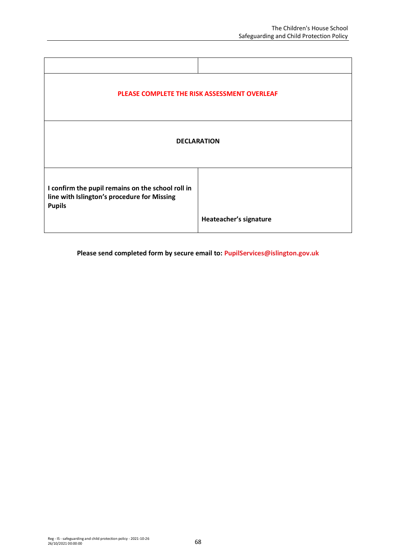| PLEASE COMPLETE THE RISK ASSESSMENT OVERLEAF                                                                      |                        |  |  |
|-------------------------------------------------------------------------------------------------------------------|------------------------|--|--|
| <b>DECLARATION</b>                                                                                                |                        |  |  |
| I confirm the pupil remains on the school roll in<br>line with Islington's procedure for Missing<br><b>Pupils</b> |                        |  |  |
|                                                                                                                   | Heateacher's signature |  |  |

**Please send completed form by secure email to: [PupilServices@islington.gov.uk](mailto:PupilServices@islington.gov.uk)**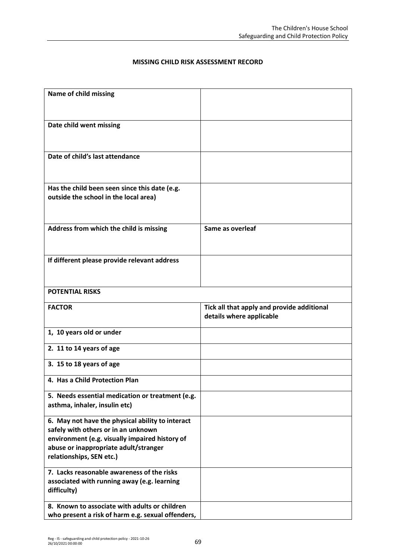## **MISSING CHILD RISK ASSESSMENT RECORD**

| Name of child missing                                                                   |                                                                        |
|-----------------------------------------------------------------------------------------|------------------------------------------------------------------------|
|                                                                                         |                                                                        |
| Date child went missing                                                                 |                                                                        |
|                                                                                         |                                                                        |
| Date of child's last attendance                                                         |                                                                        |
|                                                                                         |                                                                        |
|                                                                                         |                                                                        |
| Has the child been seen since this date (e.g.<br>outside the school in the local area)  |                                                                        |
|                                                                                         |                                                                        |
|                                                                                         |                                                                        |
| Address from which the child is missing                                                 | Same as overleaf                                                       |
|                                                                                         |                                                                        |
| If different please provide relevant address                                            |                                                                        |
|                                                                                         |                                                                        |
| <b>POTENTIAL RISKS</b>                                                                  |                                                                        |
|                                                                                         |                                                                        |
|                                                                                         |                                                                        |
| <b>FACTOR</b>                                                                           | Tick all that apply and provide additional<br>details where applicable |
| 1, 10 years old or under                                                                |                                                                        |
| 2. 11 to 14 years of age                                                                |                                                                        |
| 3. 15 to 18 years of age                                                                |                                                                        |
| 4. Has a Child Protection Plan                                                          |                                                                        |
|                                                                                         |                                                                        |
| 5. Needs essential medication or treatment (e.g.<br>asthma, inhaler, insulin etc)       |                                                                        |
| 6. May not have the physical ability to interact                                        |                                                                        |
| safely with others or in an unknown                                                     |                                                                        |
| environment (e.g. visually impaired history of<br>abuse or inappropriate adult/stranger |                                                                        |
| relationships, SEN etc.)                                                                |                                                                        |
| 7. Lacks reasonable awareness of the risks                                              |                                                                        |
| associated with running away (e.g. learning                                             |                                                                        |
| difficulty)<br>8. Known to associate with adults or children                            |                                                                        |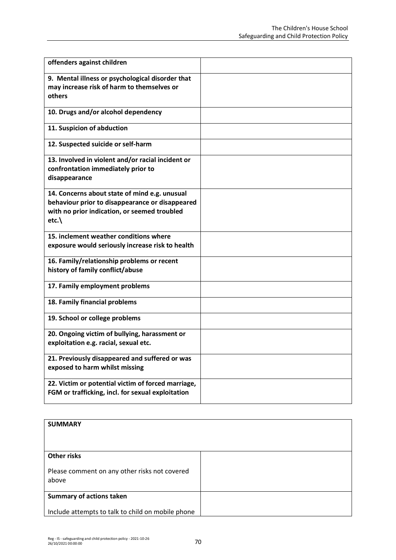| offenders against children                                                                                                                               |  |
|----------------------------------------------------------------------------------------------------------------------------------------------------------|--|
| 9. Mental illness or psychological disorder that<br>may increase risk of harm to themselves or<br>others                                                 |  |
| 10. Drugs and/or alcohol dependency                                                                                                                      |  |
| 11. Suspicion of abduction                                                                                                                               |  |
| 12. Suspected suicide or self-harm                                                                                                                       |  |
| 13. Involved in violent and/or racial incident or<br>confrontation immediately prior to<br>disappearance                                                 |  |
| 14. Concerns about state of mind e.g. unusual<br>behaviour prior to disappearance or disappeared<br>with no prior indication, or seemed troubled<br>etc. |  |
| 15. inclement weather conditions where<br>exposure would seriously increase risk to health                                                               |  |
| 16. Family/relationship problems or recent<br>history of family conflict/abuse                                                                           |  |
| 17. Family employment problems                                                                                                                           |  |
| 18. Family financial problems                                                                                                                            |  |
| 19. School or college problems                                                                                                                           |  |
| 20. Ongoing victim of bullying, harassment or<br>exploitation e.g. racial, sexual etc.                                                                   |  |
| 21. Previously disappeared and suffered or was<br>exposed to harm whilst missing                                                                         |  |
| 22. Victim or potential victim of forced marriage,<br>FGM or trafficking, incl. for sexual exploitation                                                  |  |

| <b>SUMMARY</b>                                         |  |
|--------------------------------------------------------|--|
| <b>Other risks</b>                                     |  |
| Please comment on any other risks not covered<br>above |  |
| <b>Summary of actions taken</b>                        |  |
| Include attempts to talk to child on mobile phone      |  |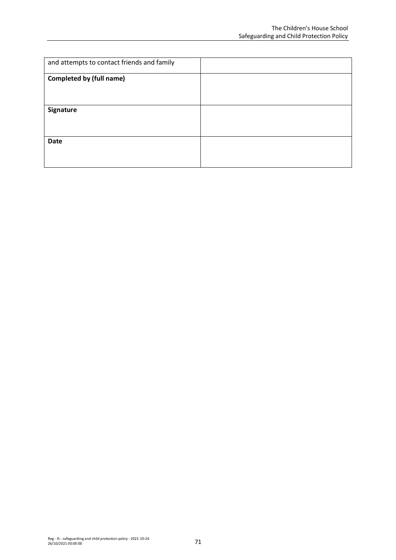| and attempts to contact friends and family |  |
|--------------------------------------------|--|
| <b>Completed by (full name)</b>            |  |
|                                            |  |
| Signature                                  |  |
|                                            |  |
| <b>Date</b>                                |  |
|                                            |  |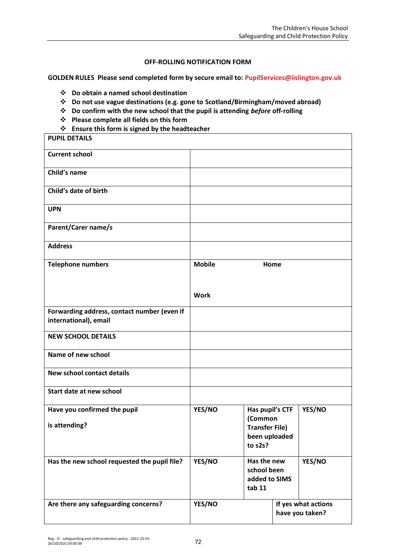## **OFF-ROLLING NOTIFICATION FORM**

**GOLDEN RULES Please send completed form by secure email to: [PupilServices@iislington.gov.uk](mailto:PupilServices@iislington.gov.uk)**

- ❖ **Do obtain a named school destination**
- ❖ **Do not use vague destinations (e.g. gone to Scotland/Birmingham/moved abroad)**
- ❖ **Do confirm with the new school that the pupil is attending** *before* **off-rolling**
- ❖ **Please complete all fields on this form**
- ❖ **Ensure this form is signed by the headteacher**

| <b>PUPIL DETAILS</b>                                                 |               |                                                                                 |  |                                        |
|----------------------------------------------------------------------|---------------|---------------------------------------------------------------------------------|--|----------------------------------------|
| <b>Current school</b>                                                |               |                                                                                 |  |                                        |
| Child's name                                                         |               |                                                                                 |  |                                        |
| Child's date of birth                                                |               |                                                                                 |  |                                        |
| <b>UPN</b>                                                           |               |                                                                                 |  |                                        |
| <b>Parent/Carer name/s</b>                                           |               |                                                                                 |  |                                        |
| <b>Address</b>                                                       |               |                                                                                 |  |                                        |
| <b>Telephone numbers</b>                                             | <b>Mobile</b> | Home                                                                            |  |                                        |
|                                                                      | <b>Work</b>   |                                                                                 |  |                                        |
| Forwarding address, contact number (even if<br>international), email |               |                                                                                 |  |                                        |
| <b>NEW SCHOOL DETAILS</b>                                            |               |                                                                                 |  |                                        |
| Name of new school                                                   |               |                                                                                 |  |                                        |
| <b>New school contact details</b>                                    |               |                                                                                 |  |                                        |
| Start date at new school                                             |               |                                                                                 |  |                                        |
| Have you confirmed the pupil<br>is attending?                        | YES/NO        | Has pupil's CTF<br>(Common<br><b>Transfer File)</b><br>been uploaded<br>to s2s? |  | YES/NO                                 |
| Has the new school requested the pupil file?                         | YES/NO        | Has the new<br>YES/NO<br>school been<br>added to SIMS<br>tab 11                 |  |                                        |
| Are there any safeguarding concerns?                                 | YES/NO        |                                                                                 |  | If yes what actions<br>have you taken? |